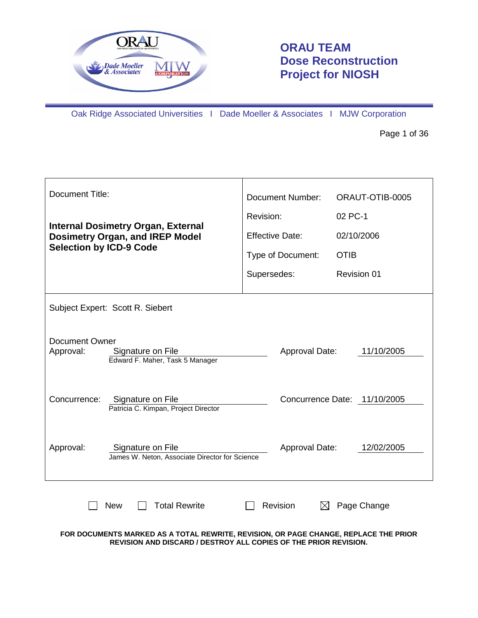

# **ORAU TEAM Dose Reconstruction Project for NIOSH**

Oak Ridge Associated Universities I Dade Moeller & Associates I MJW Corporation

Page 1 of 36

| Document Title:                                                                            | <b>Document Number:</b> | ORAUT-OTIB-0005              |  |  |  |
|--------------------------------------------------------------------------------------------|-------------------------|------------------------------|--|--|--|
| <b>Internal Dosimetry Organ, External</b>                                                  | Revision:               | 02 PC-1                      |  |  |  |
| <b>Dosimetry Organ, and IREP Model</b>                                                     | <b>Effective Date:</b>  | 02/10/2006                   |  |  |  |
| <b>Selection by ICD-9 Code</b>                                                             | Type of Document:       | <b>OTIB</b>                  |  |  |  |
|                                                                                            | Supersedes:             | Revision 01                  |  |  |  |
| Subject Expert: Scott R. Siebert                                                           |                         |                              |  |  |  |
| <b>Document Owner</b><br>Approval:<br>Signature on File<br>Edward F. Maher, Task 5 Manager | Approval Date:          | 11/10/2005                   |  |  |  |
| Concurrence:<br>Signature on File<br>Patricia C. Kimpan, Project Director                  |                         | Concurrence Date: 11/10/2005 |  |  |  |
| Approval:<br>Signature on File<br>James W. Neton, Associate Director for Science           | Approval Date:          | 12/02/2005                   |  |  |  |
| <b>Total Rewrite</b><br>Revision<br>Page Change<br><b>New</b>                              |                         |                              |  |  |  |

**FOR DOCUMENTS MARKED AS A TOTAL REWRITE, REVISION, OR PAGE CHANGE, REPLACE THE PRIOR REVISION AND DISCARD / DESTROY ALL COPIES OF THE PRIOR REVISION.**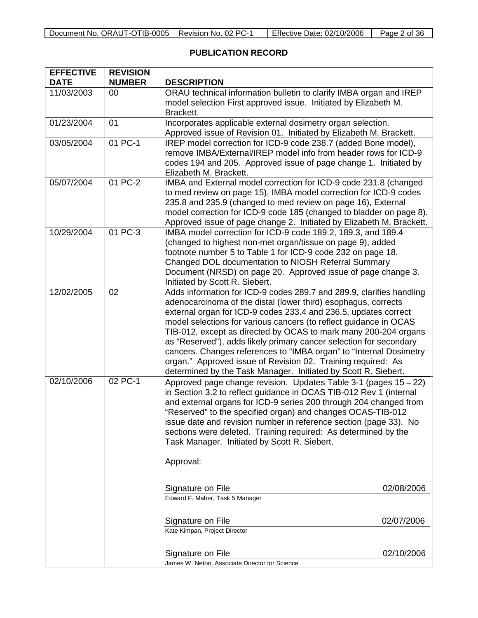| Document No. ORAUT-OTIB-0005 | Revision No. 02 PC- | Effective Date: 02/10/2006 | 2 of 36<br>Page 2 |
|------------------------------|---------------------|----------------------------|-------------------|

## **PUBLICATION RECORD**

| <b>EFFECTIVE</b><br><b>DATE</b> | <b>REVISION</b><br><b>NUMBER</b> | <b>DESCRIPTION</b>                                                                                                                                                                                                                                                                                                                                                                                                                                                                                                                                                                                                              |  |
|---------------------------------|----------------------------------|---------------------------------------------------------------------------------------------------------------------------------------------------------------------------------------------------------------------------------------------------------------------------------------------------------------------------------------------------------------------------------------------------------------------------------------------------------------------------------------------------------------------------------------------------------------------------------------------------------------------------------|--|
| 11/03/2003                      | 00                               | ORAU technical information bulletin to clarify IMBA organ and IREP<br>model selection First approved issue. Initiated by Elizabeth M.<br>Brackett.                                                                                                                                                                                                                                                                                                                                                                                                                                                                              |  |
| 01/23/2004                      | 01                               | Incorporates applicable external dosimetry organ selection.<br>Approved issue of Revision 01. Initiated by Elizabeth M. Brackett.                                                                                                                                                                                                                                                                                                                                                                                                                                                                                               |  |
| 03/05/2004                      | 01 PC-1                          | IREP model correction for ICD-9 code 238.7 (added Bone model),<br>remove IMBA/External/IREP model info from header rows for ICD-9<br>codes 194 and 205. Approved issue of page change 1. Initiated by<br>Elizabeth M. Brackett.                                                                                                                                                                                                                                                                                                                                                                                                 |  |
| 05/07/2004                      | 01 PC-2                          | IMBA and External model correction for ICD-9 code 231.8 (changed<br>to med review on page 15), IMBA model correction for ICD-9 codes<br>235.8 and 235.9 (changed to med review on page 16), External<br>model correction for ICD-9 code 185 (changed to bladder on page 8).<br>Approved issue of page change 2. Initiated by Elizabeth M. Brackett.                                                                                                                                                                                                                                                                             |  |
| 10/29/2004                      | 01 PC-3                          | IMBA model correction for ICD-9 code 189.2, 189.3, and 189.4<br>(changed to highest non-met organ/tissue on page 9), added<br>footnote number 5 to Table 1 for ICD-9 code 232 on page 18.<br>Changed DOL documentation to NIOSH Referral Summary<br>Document (NRSD) on page 20. Approved issue of page change 3.<br>Initiated by Scott R. Siebert.                                                                                                                                                                                                                                                                              |  |
| 12/02/2005                      | 02                               | Adds information for ICD-9 codes 289.7 and 289.9, clarifies handling<br>adenocarcinoma of the distal (lower third) esophagus, corrects<br>external organ for ICD-9 codes 233.4 and 236.5, updates correct<br>model selections for various cancers (to reflect guidance in OCAS<br>TIB-012, except as directed by OCAS to mark many 200-204 organs<br>as "Reserved"), adds likely primary cancer selection for secondary<br>cancers. Changes references to "IMBA organ" to "Internal Dosimetry<br>organ." Approved issue of Revision 02. Training required: As<br>determined by the Task Manager. Initiated by Scott R. Siebert. |  |
| 02/10/2006                      | 02 PC-1                          | Approved page change revision. Updates Table 3-1 (pages 15 - 22)<br>in Section 3.2 to reflect guidance in OCAS TIB-012 Rev 1 (internal<br>and external organs for ICD-9 series 200 through 204 changed from<br>"Reserved" to the specified organ) and changes OCAS-TIB-012<br>issue date and revision number in reference section (page 33). No<br>sections were deleted. Training required: As determined by the<br>Task Manager. Initiated by Scott R. Siebert.<br>Approval:                                                                                                                                                  |  |
|                                 |                                  | Signature on File<br>02/08/2006                                                                                                                                                                                                                                                                                                                                                                                                                                                                                                                                                                                                 |  |
|                                 |                                  | Edward F. Maher, Task 5 Manager                                                                                                                                                                                                                                                                                                                                                                                                                                                                                                                                                                                                 |  |
|                                 |                                  | Signature on File<br>02/07/2006<br>Kate Kimpan, Project Director                                                                                                                                                                                                                                                                                                                                                                                                                                                                                                                                                                |  |
|                                 |                                  | 02/10/2006<br>Signature on File<br>James W. Neton, Associate Director for Science                                                                                                                                                                                                                                                                                                                                                                                                                                                                                                                                               |  |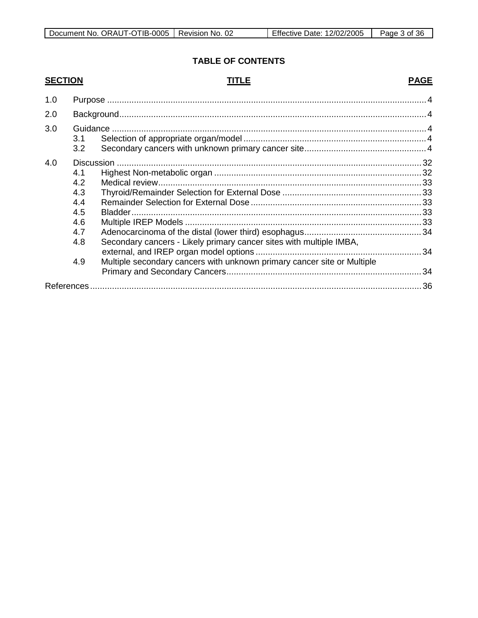## **TABLE OF CONTENTS**

## **SECTION**

## **TITLE**

## **PAGE**

| 1.0 |                                                             |                                                                                                                                                |  |  |  |
|-----|-------------------------------------------------------------|------------------------------------------------------------------------------------------------------------------------------------------------|--|--|--|
| 2.0 |                                                             |                                                                                                                                                |  |  |  |
| 3.0 | Guidance<br>3.1<br>3.2                                      |                                                                                                                                                |  |  |  |
| 4.0 | 4.1<br>4.2<br>4.3<br>4.4<br>4.5<br>4.6<br>4.7<br>4.8<br>4.9 | Secondary cancers - Likely primary cancer sites with multiple IMBA,<br>Multiple secondary cancers with unknown primary cancer site or Multiple |  |  |  |
|     |                                                             |                                                                                                                                                |  |  |  |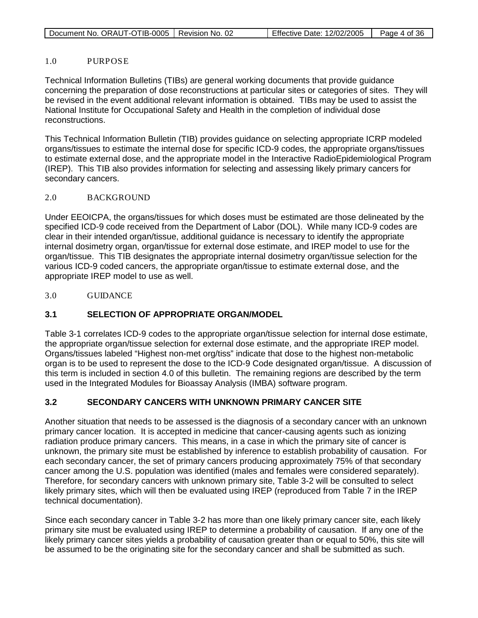|--|

Effective Date:  $12/02/2005$  Page 4 of 36

#### 1.0 PURPOSE

Technical Information Bulletins (TIBs) are general working documents that provide guidance concerning the preparation of dose reconstructions at particular sites or categories of sites. They will be revised in the event additional relevant information is obtained. TIBs may be used to assist the National Institute for Occupational Safety and Health in the completion of individual dose reconstructions.

This Technical Information Bulletin (TIB) provides guidance on selecting appropriate ICRP modeled organs/tissues to estimate the internal dose for specific ICD-9 codes, the appropriate organs/tissues to estimate external dose, and the appropriate model in the Interactive RadioEpidemiological Program (IREP). This TIB also provides information for selecting and assessing likely primary cancers for secondary cancers.

## 2.0 BACKGROUND

Under EEOICPA, the organs/tissues for which doses must be estimated are those delineated by the specified ICD-9 code received from the Department of Labor (DOL). While many ICD-9 codes are clear in their intended organ/tissue, additional guidance is necessary to identify the appropriate internal dosimetry organ, organ/tissue for external dose estimate, and IREP model to use for the organ/tissue. This TIB designates the appropriate internal dosimetry organ/tissue selection for the various ICD-9 coded cancers, the appropriate organ/tissue to estimate external dose, and the appropriate IREP model to use as well.

3.0 GUIDANCE

## **3.1 SELECTION OF APPROPRIATE ORGAN/MODEL**

Table 3-1 correlates ICD-9 codes to the appropriate organ/tissue selection for internal dose estimate, the appropriate organ/tissue selection for external dose estimate, and the appropriate IREP model. Organs/tissues labeled "Highest non-met org/tiss" indicate that dose to the highest non-metabolic organ is to be used to represent the dose to the ICD-9 Code designated organ/tissue. A discussion of this term is included in section 4.0 of this bulletin. The remaining regions are described by the term used in the Integrated Modules for Bioassay Analysis (IMBA) software program.

## **3.2 SECONDARY CANCERS WITH UNKNOWN PRIMARY CANCER SITE**

Another situation that needs to be assessed is the diagnosis of a secondary cancer with an unknown primary cancer location. It is accepted in medicine that cancer-causing agents such as ionizing radiation produce primary cancers. This means, in a case in which the primary site of cancer is unknown, the primary site must be established by inference to establish probability of causation. For each secondary cancer, the set of primary cancers producing approximately 75% of that secondary cancer among the U.S. population was identified (males and females were considered separately). Therefore, for secondary cancers with unknown primary site, Table 3-2 will be consulted to select likely primary sites, which will then be evaluated using IREP (reproduced from Table 7 in the IREP technical documentation).

Since each secondary cancer in Table 3-2 has more than one likely primary cancer site, each likely primary site must be evaluated using IREP to determine a probability of causation. If any one of the likely primary cancer sites yields a probability of causation greater than or equal to 50%, this site will be assumed to be the originating site for the secondary cancer and shall be submitted as such.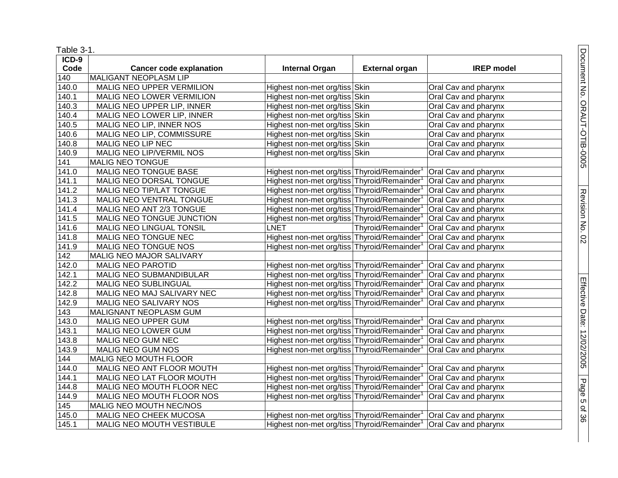| Table 3-1.          |                                |                                                                              |                                |                      |
|---------------------|--------------------------------|------------------------------------------------------------------------------|--------------------------------|----------------------|
| $ICD-9$             |                                |                                                                              |                                |                      |
| Code                | <b>Cancer code explanation</b> | <b>Internal Organ</b>                                                        | <b>External organ</b>          | <b>IREP</b> model    |
| $\overline{140}$    | MALIGANT NEOPLASM LIP          |                                                                              |                                |                      |
| $\overline{1}40.0$  | MALIG NEO UPPER VERMILION      | Highest non-met org/tiss Skin                                                |                                | Oral Cav and pharynx |
| 140.1               | MALIG NEO LOWER VERMILION      | Highest non-met org/tiss Skin                                                |                                | Oral Cav and pharynx |
| 140.3               | MALIG NEO UPPER LIP, INNER     | Highest non-met org/tiss Skin                                                |                                | Oral Cav and pharynx |
| 140.4               | MALIG NEO LOWER LIP, INNER     | Highest non-met org/tiss Skin                                                |                                | Oral Cav and pharynx |
| 140.5               | MALIG NEO LIP, INNER NOS       | Highest non-met org/tiss Skin                                                |                                | Oral Cav and pharynx |
| 140.6               | MALIG NEO LIP, COMMISSURE      | Highest non-met org/tiss Skin                                                |                                | Oral Cav and pharynx |
| 140.8               | MALIG NEO LIP NEC              | Highest non-met org/tiss Skin                                                |                                | Oral Cav and pharynx |
| 140.9               | MALIG NEO LIP/VERMIL NOS       | Highest non-met org/tiss Skin                                                |                                | Oral Cav and pharynx |
| $\overline{141}$    | MALIG NEO TONGUE               |                                                                              |                                |                      |
| $\sqrt{141.0}$      | <b>MALIG NEO TONGUE BASE</b>   | Highest non-met org/tiss Thyroid/Remainder <sup>1</sup>                      |                                | Oral Cav and pharynx |
| 141.1               | MALIG NEO DORSAL TONGUE        | Highest non-met org/tiss Thyroid/Remainder <sup>1</sup>                      |                                | Oral Cav and pharynx |
| 141.2               | MALIG NEO TIP/LAT TONGUE       | Highest non-met org/tiss Thyroid/Remainder                                   |                                | Oral Cav and pharynx |
| $\sqrt{141.3}$      | MALIG NEO VENTRAL TONGUE       | Highest non-met org/tiss Thyroid/Remainder <sup>1</sup>                      |                                | Oral Cav and pharynx |
| 141.4               | MALIG NEO ANT 2/3 TONGUE       | Highest non-met org/tiss Thyroid/Remainder <sup>1</sup>                      |                                | Oral Cav and pharynx |
| 141.5               | MALIG NEO TONGUE JUNCTION      | Highest non-met org/tiss Thyroid/Remainder                                   |                                | Oral Cav and pharynx |
| 141.6               | MALIG NEO LINGUAL TONSIL       | <b>LNET</b>                                                                  | Thyroid/Remainder <sup>1</sup> | Oral Cav and pharynx |
| 141.8               | MALIG NEO TONGUE NEC           | Highest non-met org/tiss Thyroid/Remainder                                   |                                | Oral Cav and pharynx |
| 141.9               | MALIG NEO TONGUE NOS           | Highest non-met org/tiss Thyroid/Remainder                                   |                                | Oral Cav and pharynx |
| 142                 | MALIG NEO MAJOR SALIVARY       |                                                                              |                                |                      |
| 142.0               | <b>MALIG NEO PAROTID</b>       | Highest non-met org/tiss Thyroid/Remainder <sup>1</sup>                      |                                | Oral Cav and pharynx |
| 142.1               | <b>MALIG NEO SUBMANDIBULAR</b> | Highest non-met org/tiss Thyroid/Remainder                                   |                                | Oral Cav and pharynx |
| 142.2               | <b>MALIG NEO SUBLINGUAL</b>    | Highest non-met org/tiss Thyroid/Remainder <sup>1</sup>                      |                                | Oral Cav and pharynx |
| 142.8               | MALIG NEO MAJ SALIVARY NEC     | Highest non-met org/tiss Thyroid/Remainder <sup>1</sup>                      |                                | Oral Cav and pharynx |
| 142.9               | MALIG NEO SALIVARY NOS         | Highest non-met org/tiss Thyroid/Remainder                                   |                                | Oral Cav and pharynx |
| 143                 | MALIGNANT NEOPLASM GUM         |                                                                              |                                |                      |
| 143.0               | MALIG NEO UPPER GUM            | Highest non-met org/tiss Thyroid/Remainder <sup>1</sup>                      |                                | Oral Cav and pharynx |
| $\overline{143.1}$  | MALIG NEO LOWER GUM            | Highest non-met org/tiss Thyroid/Remainder <sup>1</sup>                      |                                | Oral Cav and pharynx |
| 143.8               | MALIG NEO GUM NEC              | Highest non-met org/tiss Thyroid/Remainder <sup>1</sup>                      |                                | Oral Cav and pharynx |
| 143.9               | MALIG NEO GUM NOS              | Highest non-met org/tiss Thyroid/Remainder <sup>1</sup>                      |                                | Oral Cav and pharynx |
| 144                 | MALIG NEO MOUTH FLOOR          |                                                                              |                                |                      |
| 144.0               | MALIG NEO ANT FLOOR MOUTH      | Highest non-met org/tiss Thyroid/Remainder <sup>1</sup>                      |                                | Oral Cav and pharynx |
| 144.1               | MALIG NEO LAT FLOOR MOUTH      | Highest non-met org/tiss Thyroid/Remainder <sup>1</sup>                      |                                | Oral Cav and pharynx |
| 144.8               | MALIG NEO MOUTH FLOOR NEC      | Highest non-met org/tiss Thyroid/Remainder <sup>1</sup>                      |                                | Oral Cav and pharynx |
| 144.9               | MALIG NEO MOUTH FLOOR NOS      | Highest non-met org/tiss Thyroid/Remainder <sup>1</sup>                      |                                | Oral Cav and pharynx |
| 145                 | MALIG NEO MOUTH NEC/NOS        |                                                                              |                                |                      |
| 145.0               | MALIG NEO CHEEK MUCOSA         | Highest non-met org/tiss Thyroid/Remainder <sup>1</sup> Oral Cav and pharynx |                                |                      |
| $\overline{1}$ 45.1 | MALIG NEO MOUTH VESTIBULE      | Highest non-met org/tiss Thyroid/Remainder <sup>1</sup> Oral Cav and pharynx |                                |                      |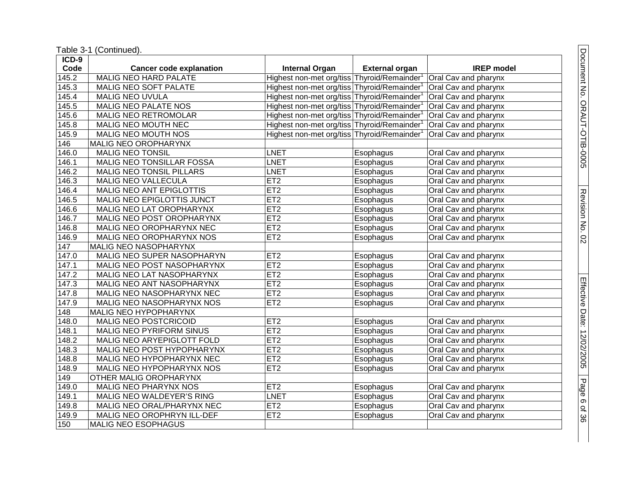Table 3 -1 (Continued).

| ICD-9 |                                   |                                            |                       |                      |
|-------|-----------------------------------|--------------------------------------------|-----------------------|----------------------|
| Code  | <b>Cancer code explanation</b>    | <b>Internal Organ</b>                      | <b>External organ</b> | <b>IREP</b> model    |
| 145.2 | <b>MALIG NEO HARD PALATE</b>      | Highest non-met org/tiss Thyroid/Remainder |                       | Oral Cav and pharynx |
| 145.3 | MALIG NEO SOFT PALATE             | Highest non-met org/tiss Thyroid/Remainder |                       | Oral Cav and pharynx |
| 145.4 | <b>MALIG NEO UVULA</b>            | Highest non-met org/tiss Thyroid/Remainder |                       | Oral Cav and pharynx |
| 145.5 | <b>MALIG NEO PALATE NOS</b>       | Highest non-met org/tiss Thyroid/Remainder |                       | Oral Cav and pharynx |
| 145.6 | MALIG NEO RETROMOLAR              | Highest non-met org/tiss Thyroid/Remainder |                       | Oral Cav and pharynx |
| 145.8 | MALIG NEO MOUTH NEC               | Highest non-met org/tiss Thyroid/Remainder |                       | Oral Cav and pharynx |
| 145.9 | MALIG NEO MOUTH NOS               | Highest non-met org/tiss Thyroid/Remainder |                       | Oral Cav and pharynx |
| 146   | <b>MALIG NEO OROPHARYNX</b>       |                                            |                       |                      |
| 146.0 | <b>MALIG NEO TONSIL</b>           | <b>LNET</b>                                | Esophagus             | Oral Cav and pharynx |
| 146.1 | <b>MALIG NEO TONSILLAR FOSSA</b>  | <b>LNET</b>                                | Esophagus             | Oral Cav and pharynx |
| 146.2 | MALIG NEO TONSIL PILLARS          | <b>LNET</b>                                | Esophagus             | Oral Cav and pharynx |
| 146.3 | MALIG NEO VALLECULA               | ET2                                        | Esophagus             | Oral Cav and pharynx |
| 146.4 | MALIG NEO ANT EPIGLOTTIS          | ET2                                        | Esophagus             | Oral Cav and pharynx |
| 146.5 | <b>MALIG NEO EPIGLOTTIS JUNCT</b> | ET2                                        | Esophagus             | Oral Cav and pharynx |
| 146.6 | MALIG NEO LAT OROPHARYNX          | ET2                                        | Esophagus             | Oral Cav and pharynx |
| 146.7 | MALIG NEO POST OROPHARYNX         | ET <sub>2</sub>                            | Esophagus             | Oral Cav and pharynx |
| 146.8 | MALIG NEO OROPHARYNX NEC          | ET2                                        | Esophagus             | Oral Cav and pharynx |
| 146.9 | MALIG NEO OROPHARYNX NOS          | ET2                                        | Esophagus             | Oral Cav and pharynx |
| 147   | MALIG NEO NASOPHARYNX             |                                            |                       |                      |
| 147.0 | MALIG NEO SUPER NASOPHARYN        | ET2                                        | Esophagus             | Oral Cav and pharynx |
| 147.1 | MALIG NEO POST NASOPHARYNX        | ET2                                        | Esophagus             | Oral Cav and pharynx |
| 147.2 | MALIG NEO LAT NASOPHARYNX         | ET2                                        | Esophagus             | Oral Cav and pharynx |
| 147.3 | MALIG NEO ANT NASOPHARYNX         | ET2                                        | Esophagus             | Oral Cav and pharynx |
| 147.8 | MALIG NEO NASOPHARYNX NEC         | ET2                                        | Esophagus             | Oral Cav and pharynx |
| 147.9 | MALIG NEO NASOPHARYNX NOS         | ET2                                        | Esophagus             | Oral Cav and pharynx |
| 148   | <b>MALIG NEO HYPOPHARYNX</b>      |                                            |                       |                      |
| 148.0 | MALIG NEO POSTCRICOID             | ET2                                        | Esophagus             | Oral Cav and pharynx |
| 148.1 | MALIG NEO PYRIFORM SINUS          | ET2                                        | Esophagus             | Oral Cav and pharynx |
| 148.2 | MALIG NEO ARYEPIGLOTT FOLD        | ET2                                        | Esophagus             | Oral Cav and pharynx |
| 148.3 | MALIG NEO POST HYPOPHARYNX        | ET2                                        | Esophagus             | Oral Cav and pharynx |
| 148.8 | MALIG NEO HYPOPHARYNX NEC         | ET2                                        | Esophagus             | Oral Cav and pharynx |
| 148.9 | MALIG NEO HYPOPHARYNX NOS         | ET2                                        | Esophagus             | Oral Cav and pharynx |
| 149   | OTHER MALIG OROPHARYNX            |                                            |                       |                      |
| 149.0 | MALIG NEO PHARYNX NOS             | ET2                                        | Esophagus             | Oral Cav and pharynx |
| 149.1 | <b>MALIG NEO WALDEYER'S RING</b>  | <b>LNET</b>                                | Esophagus             | Oral Cav and pharynx |
| 149.8 | MALIG NEO ORAL/PHARYNX NEC        | ET2                                        | Esophagus             | Oral Cav and pharynx |
| 149.9 | MALIG NEO OROPHRYN ILL-DEF        | ET2                                        | Esophagus             | Oral Cav and pharynx |
| 150   | MALIG NEO ESOPHAGUS               |                                            |                       |                      |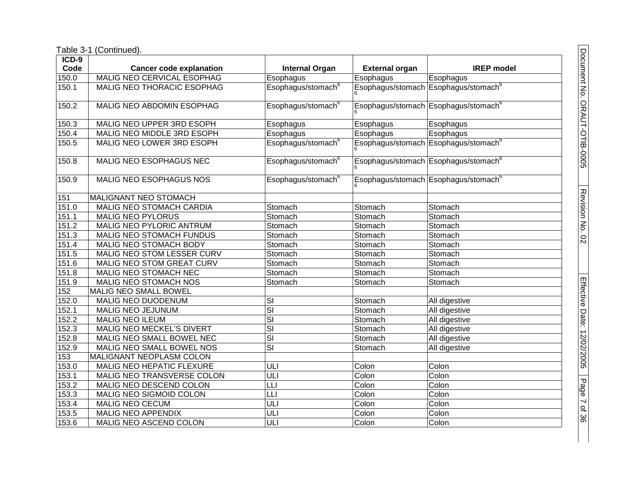| ICD-9 |                                  |                                |                       |                                                  |
|-------|----------------------------------|--------------------------------|-----------------------|--------------------------------------------------|
| Code  | <b>Cancer code explanation</b>   | <b>Internal Organ</b>          | <b>External organ</b> | <b>IREP</b> model                                |
| 150.0 | MALIG NEO CERVICAL ESOPHAG       | Esophagus                      | Esophagus             | Esophagus                                        |
| 150.1 | MALIG NEO THORACIC ESOPHAG       | Esophagus/stomach <sup>6</sup> |                       | Esophagus/stomach Esophagus/stomach <sup>6</sup> |
| 150.2 | MALIG NEO ABDOMIN ESOPHAG        | Esophagus/stomach <sup>6</sup> |                       | Esophagus/stomach Esophagus/stomach <sup>6</sup> |
| 150.3 | MALIG NEO UPPER 3RD ESOPH        | Esophagus                      | Esophagus             | Esophagus                                        |
| 150.4 | MALIG NEO MIDDLE 3RD ESOPH       | Esophagus                      | Esophagus             | Esophagus                                        |
| 150.5 | MALIG NEO LOWER 3RD ESOPH        | Esophagus/stomach <sup>6</sup> |                       | Esophagus/stomach Esophagus/stomach <sup>6</sup> |
| 150.8 | <b>MALIG NEO ESOPHAGUS NEC</b>   | Esophagus/stomach <sup>6</sup> |                       | Esophagus/stomach Esophagus/stomach <sup>6</sup> |
| 150.9 | MALIG NEO ESOPHAGUS NOS          | Esophagus/stomach <sup>6</sup> |                       | Esophagus/stomach Esophagus/stomach <sup>6</sup> |
| 151   | MALIGNANT NEO STOMACH            |                                |                       |                                                  |
| 151.0 | MALIG NEO STOMACH CARDIA         | Stomach                        | Stomach               | Stomach                                          |
| 151.1 | <b>MALIG NEO PYLORUS</b>         | Stomach                        | Stomach               | Stomach                                          |
| 151.2 | MALIG NEO PYLORIC ANTRUM         | Stomach                        | Stomach               | Stomach                                          |
| 151.3 | MALIG NEO STOMACH FUNDUS         | Stomach                        | Stomach               | Stomach                                          |
| 151.4 | MALIG NEO STOMACH BODY           | Stomach                        | Stomach               | Stomach                                          |
| 151.5 | MALIG NEO STOM LESSER CURV       | Stomach                        | Stomach               | Stomach                                          |
| 151.6 | MALIG NEO STOM GREAT CURV        | Stomach                        | Stomach               | Stomach                                          |
| 151.8 | MALIG NEO STOMACH NEC            | Stomach                        | Stomach               | Stomach                                          |
| 151.9 | MALIG NEO STOMACH NOS            | Stomach                        | Stomach               | Stomach                                          |
| 152   | MALIG NEO SMALL BOWEL            |                                |                       |                                                  |
| 152.0 | MALIG NEO DUODENUM               | SI                             | Stomach               | All digestive                                    |
| 152.1 | MALIG NEO JEJUNUM                | $\overline{\text{SI}}$         | Stomach               | All digestive                                    |
| 152.2 | <b>MALIG NEO ILEUM</b>           | $\overline{\mathsf{SI}}$       | Stomach               | All digestive                                    |
| 152.3 | <b>MALIG NEO MECKEL'S DIVERT</b> | $\overline{\mathsf{SI}}$       | Stomach               | All digestive                                    |
| 152.8 | MALIG NEO SMALL BOWEL NEC        | $\overline{\mathsf{SI}}$       | Stomach               | All digestive                                    |
| 152.9 | MALIG NEO SMALL BOWEL NOS        | $\overline{\mathsf{SI}}$       | Stomach               | All digestive                                    |
| 153   | MALIGNANT NEOPLASM COLON         |                                |                       |                                                  |
| 153.0 | <b>MALIG NEO HEPATIC FLEXURE</b> | ULI                            | Colon                 | Colon                                            |
| 153.1 | MALIG NEO TRANSVERSE COLON       | ULI                            | Colon                 | Colon                                            |
| 153.2 | MALIG NEO DESCEND COLON          | LLI                            | Colon                 | Colon                                            |
| 153.3 | MALIG NEO SIGMOID COLON          | LLI                            | Colon                 | Colon                                            |
| 153.4 | <b>MALIG NEO CECUM</b>           | ULI                            | Colon                 | Colon                                            |
| 153.5 | <b>MALIG NEO APPENDIX</b>        | ULI                            | Colon                 | Colon                                            |
| 153.6 | MALIG NEO ASCEND COLON           | Ē                              | Colon                 | Colon                                            |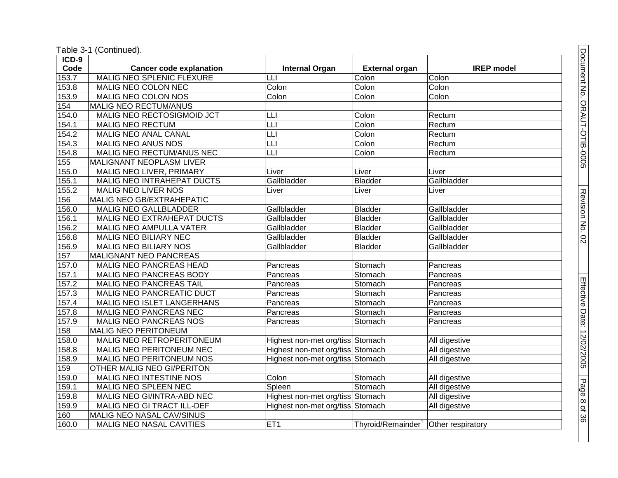| $ICD-9$ |                                   |                                  |                       |                   |
|---------|-----------------------------------|----------------------------------|-----------------------|-------------------|
| Code    | <b>Cancer code explanation</b>    | <b>Internal Organ</b>            | <b>External organ</b> | <b>IREP</b> model |
| 153.7   | <b>MALIG NEO SPLENIC FLEXURE</b>  | E                                | Colon                 | Colon             |
| 153.8   | MALIG NEO COLON NEC               | Colon                            | Colon                 | Colon             |
| 153.9   | MALIG NEO COLON NOS               | Colon                            | Colon                 | Colon             |
| 154     | <b>MALIG NEO RECTUM/ANUS</b>      |                                  |                       |                   |
| 154.0   | MALIG NEO RECTOSIGMOID JCT        | LLI                              | Colon                 | Rectum            |
| 154.1   | <b>MALIG NEO RECTUM</b>           | $\overline{\mathsf{L}}$          | Colon                 | Rectum            |
| 154.2   | MALIG NEO ANAL CANAL              | LLI                              | Colon                 | Rectum            |
| 154.3   | MALIG NEO ANUS NOS                | Т                                | Colon                 | Rectum            |
| 154.8   | MALIG NEO RECTUM/ANUS NEC         | L                                | Colon                 | Rectum            |
| 155     | MALIGNANT NEOPLASM LIVER          |                                  |                       |                   |
| 155.0   | MALIG NEO LIVER, PRIMARY          | Liver                            | Liver                 | Liver             |
| 155.1   | MALIG NEO INTRAHEPAT DUCTS        | Gallbladder                      | <b>Bladder</b>        | Gallbladder       |
| 155.2   | MALIG NEO LIVER NOS               | Liver                            | Liver                 | Liver             |
| 156     | MALIG NEO GB/EXTRAHEPATIC         |                                  |                       |                   |
| 156.0   | MALIG NEO GALLBLADDER             | Gallbladder                      | <b>Bladder</b>        | Gallbladder       |
| 156.1   | MALIG NEO EXTRAHEPAT DUCTS        | Gallbladder                      | <b>Bladder</b>        | Gallbladder       |
| 156.2   | MALIG NEO AMPULLA VATER           | Gallbladder                      | <b>Bladder</b>        | Gallbladder       |
| 156.8   | <b>MALIG NEO BILIARY NEC</b>      | Gallbladder                      | <b>Bladder</b>        | Gallbladder       |
| 156.9   | MALIG NEO BILIARY NOS             | Gallbladder                      | <b>Bladder</b>        | Gallbladder       |
| 157     | <b>MALIGNANT NEO PANCREAS</b>     |                                  |                       |                   |
| 157.0   | MALIG NEO PANCREAS HEAD           | Pancreas                         | Stomach               | Pancreas          |
| 157.1   | MALIG NEO PANCREAS BODY           | Pancreas                         | Stomach               | Pancreas          |
| 157.2   | <b>MALIG NEO PANCREAS TAIL</b>    | Pancreas                         | Stomach               | Pancreas          |
| 157.3   | MALIG NEO PANCREATIC DUCT         | Pancreas                         | Stomach               | Pancreas          |
| 157.4   | <b>MALIG NEO ISLET LANGERHANS</b> | Pancreas                         | Stomach               | Pancreas          |
| 157.8   | MALIG NEO PANCREAS NEC            | Pancreas                         | Stomach               | Pancreas          |
| 157.9   | MALIG NEO PANCREAS NOS            | Pancreas                         | Stomach               | Pancreas          |
| 158     | MALIG NEO PERITONEUM              |                                  |                       |                   |
| 158.0   | MALIG NEO RETROPERITONEUM         | Highest non-met org/tiss Stomach |                       | All digestive     |
| 158.8   | MALIG NEO PERITONEUM NEC          | Highest non-met org/tiss Stomach |                       | All digestive     |
| 158.9   | <b>MALIG NEO PERITONEUM NOS</b>   | Highest non-met org/tiss Stomach |                       | All digestive     |
| 159     | OTHER MALIG NEO GI/PERITON        |                                  |                       |                   |
| 159.0   | <b>MALIG NEO INTESTINE NOS</b>    | Colon                            | Stomach               | All digestive     |
| 159.1   | MALIG NEO SPLEEN NEC              | Spleen                           | Stomach               | All digestive     |
| 159.8   | MALIG NEO GI/INTRA-ABD NEC        | Highest non-met org/tiss Stomach |                       | All digestive     |
| 159.9   | MALIG NEO GI TRACT ILL-DEF        | Highest non-met org/tiss Stomach |                       | All digestive     |
| 160     | MALIG NEO NASAL CAV/SINUS         |                                  |                       |                   |
| 160.0   | <b>MALIG NEO NASAL CAVITIES</b>   | ET1                              | Thyroid/Remainder     | Other respiratory |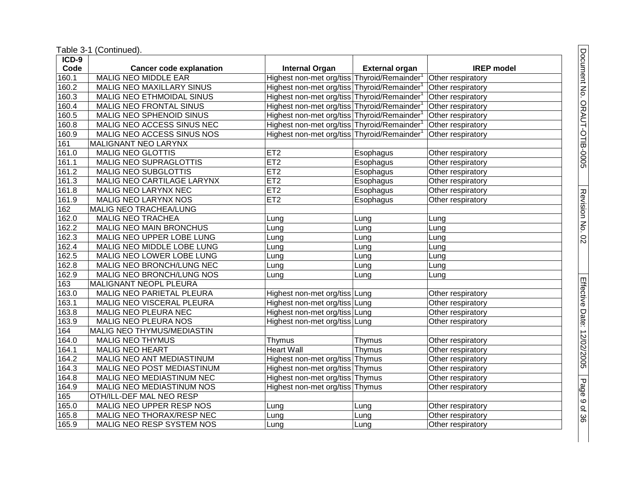Table 3 -1 (Continued).

| ICD-9 |                                  |                                            |                       |                   |
|-------|----------------------------------|--------------------------------------------|-----------------------|-------------------|
| Code  | <b>Cancer code explanation</b>   | <b>Internal Organ</b>                      | <b>External organ</b> | <b>IREP</b> model |
| 160.1 | <b>MALIG NEO MIDDLE EAR</b>      | Highest non-met org/tiss Thyroid/Remainder |                       | Other respiratory |
| 160.2 | <b>MALIG NEO MAXILLARY SINUS</b> | Highest non-met org/tiss Thyroid/Remainder |                       | Other respiratory |
| 160.3 | MALIG NEO ETHMOIDAL SINUS        | Highest non-met org/tiss Thyroid/Remainder |                       | Other respiratory |
| 160.4 | MALIG NEO FRONTAL SINUS          | Highest non-met org/tiss Thyroid/Remainder |                       | Other respiratory |
| 160.5 | <b>MALIG NEO SPHENOID SINUS</b>  | Highest non-met org/tiss Thyroid/Remainder |                       | Other respiratory |
| 160.8 | MALIG NEO ACCESS SINUS NEC       | Highest non-met org/tiss Thyroid/Remainder |                       | Other respiratory |
| 160.9 | MALIG NEO ACCESS SINUS NOS       | Highest non-met org/tiss Thyroid/Remainder |                       | Other respiratory |
| 161   | MALIGNANT NEO LARYNX             |                                            |                       |                   |
| 161.0 | <b>MALIG NEO GLOTTIS</b>         | ET2                                        | Esophagus             | Other respiratory |
| 161.1 | <b>MALIG NEO SUPRAGLOTTIS</b>    | ET2                                        | <b>Esophagus</b>      | Other respiratory |
| 161.2 | <b>MALIG NEO SUBGLOTTIS</b>      | ET2                                        | Esophagus             | Other respiratory |
| 161.3 | MALIG NEO CARTILAGE LARYNX       | ET2                                        | Esophagus             | Other respiratory |
| 161.8 | MALIG NEO LARYNX NEC             | ET2                                        | Esophagus             | Other respiratory |
| 161.9 | <b>MALIG NEO LARYNX NOS</b>      | ET2                                        | Esophagus             | Other respiratory |
| 162   | MALIG NEO TRACHEA/LUNG           |                                            |                       |                   |
| 162.0 | <b>MALIG NEO TRACHEA</b>         | Lung                                       | Lung                  | Lung              |
| 162.2 | <b>MALIG NEO MAIN BRONCHUS</b>   | Lung                                       | Lung                  | Lung              |
| 162.3 | MALIG NEO UPPER LOBE LUNG        | Lung                                       | Lung                  | Lung              |
| 162.4 | MALIG NEO MIDDLE LOBE LUNG       | Lung                                       | Lung                  | Lung              |
| 162.5 | MALIG NEO LOWER LOBE LUNG        | Lung                                       | Lung                  | Lung              |
| 162.8 | MALIG NEO BRONCH/LUNG NEC        | Lung                                       | Lung                  | Lung              |
| 162.9 | MALIG NEO BRONCH/LUNG NOS        | Lung                                       | Lung                  | Lung              |
| 163   | MALIGNANT NEOPL PLEURA           |                                            |                       |                   |
| 163.0 | MALIG NEO PARIETAL PLEURA        | Highest non-met org/tiss Lung              |                       | Other respiratory |
| 163.1 | MALIG NEO VISCERAL PLEURA        | Highest non-met org/tiss Lung              |                       | Other respiratory |
| 163.8 | MALIG NEO PLEURA NEC             | Highest non-met org/tiss Lung              |                       | Other respiratory |
| 163.9 | MALIG NEO PLEURA NOS             | Highest non-met org/tiss Lung              |                       | Other respiratory |
| 164   | MALIG NEO THYMUS/MEDIASTIN       |                                            |                       |                   |
| 164.0 | <b>MALIG NEO THYMUS</b>          | Thymus                                     | Thymus                | Other respiratory |
| 164.1 | <b>MALIG NEO HEART</b>           | <b>Heart Wall</b>                          | Thymus                | Other respiratory |
| 164.2 | MALIG NEO ANT MEDIASTINUM        | Highest non-met org/tiss Thymus            |                       | Other respiratory |
| 164.3 | MALIG NEO POST MEDIASTINUM       | Highest non-met org/tiss Thymus            |                       | Other respiratory |
| 164.8 | MALIG NEO MEDIASTINUM NEC        | Highest non-met org/tiss Thymus            |                       | Other respiratory |
| 164.9 | MALIG NEO MEDIASTINUM NOS        | Highest non-met org/tiss Thymus            |                       | Other respiratory |
| 165   | OTH/ILL-DEF MAL NEO RESP         |                                            |                       |                   |
| 165.0 | MALIG NEO UPPER RESP NOS         | Lung                                       | Lung                  | Other respiratory |
| 165.8 | MALIG NEO THORAX/RESP NEC        | Lung                                       | Lung                  | Other respiratory |
| 165.9 | MALIG NEO RESP SYSTEM NOS        | Lung                                       | Lung                  | Other respiratory |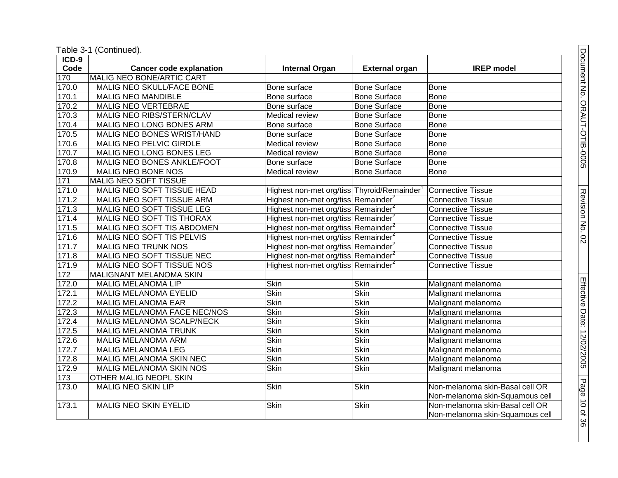| ICD-9 |                                |                                                 |                       |                                 |
|-------|--------------------------------|-------------------------------------------------|-----------------------|---------------------------------|
| Code  | <b>Cancer code explanation</b> | <b>Internal Organ</b>                           | <b>External organ</b> | <b>IREP</b> model               |
| 170   | MALIG NEO BONE/ARTIC CART      |                                                 |                       |                                 |
| 170.0 | MALIG NEO SKULL/FACE BONE      | Bone surface                                    | <b>Bone Surface</b>   | <b>Bone</b>                     |
| 170.1 | <b>MALIG NEO MANDIBLE</b>      | Bone surface                                    | Bone Surface          | <b>Bone</b>                     |
| 170.2 | <b>MALIG NEO VERTEBRAE</b>     | Bone surface                                    | <b>Bone Surface</b>   | <b>Bone</b>                     |
| 170.3 | MALIG NEO RIBS/STERN/CLAV      | Medical review                                  | <b>Bone Surface</b>   | Bone                            |
| 170.4 | MALIG NEO LONG BONES ARM       | Bone surface                                    | <b>Bone Surface</b>   | Bone                            |
| 170.5 | MALIG NEO BONES WRIST/HAND     | Bone surface                                    | <b>Bone Surface</b>   | <b>Bone</b>                     |
| 170.6 | MALIG NEO PELVIC GIRDLE        | Medical review                                  | <b>Bone Surface</b>   | Bone                            |
| 170.7 | MALIG NEO LONG BONES LEG       | Medical review                                  | <b>Bone Surface</b>   | <b>Bone</b>                     |
| 170.8 | MALIG NEO BONES ANKLE/FOOT     | Bone surface                                    | <b>Bone Surface</b>   | <b>Bone</b>                     |
| 170.9 | MALIG NEO BONE NOS             | Medical review                                  | <b>Bone Surface</b>   | Bone                            |
| $171$ | MALIG NEO SOFT TISSUE          |                                                 |                       |                                 |
| 171.0 | MALIG NEO SOFT TISSUE HEAD     | Highest non-met org/tiss Thyroid/Remainder      |                       | <b>Connective Tissue</b>        |
| 171.2 | MALIG NEO SOFT TISSUE ARM      | Highest non-met org/tiss Remainder <sup>2</sup> |                       | <b>Connective Tissue</b>        |
| 171.3 | MALIG NEO SOFT TISSUE LEG      | Highest non-met org/tiss Remainder <sup>2</sup> |                       | <b>Connective Tissue</b>        |
| 171.4 | MALIG NEO SOFT TIS THORAX      | Highest non-met org/tiss Remainder <sup>2</sup> |                       | <b>Connective Tissue</b>        |
| 171.5 | MALIG NEO SOFT TIS ABDOMEN     | Highest non-met org/tiss Remainder <sup>2</sup> |                       | <b>Connective Tissue</b>        |
| 171.6 | MALIG NEO SOFT TIS PELVIS      | Highest non-met org/tiss Remainder              |                       | <b>Connective Tissue</b>        |
| 171.7 | <b>MALIG NEO TRUNK NOS</b>     | Highest non-met org/tiss Remainder <sup>2</sup> |                       | <b>Connective Tissue</b>        |
| 171.8 | MALIG NEO SOFT TISSUE NEC      | Highest non-met org/tiss Remainder <sup>2</sup> |                       | <b>Connective Tissue</b>        |
| 171.9 | MALIG NEO SOFT TISSUE NOS      | Highest non-met org/tiss Remainder <sup>2</sup> |                       | <b>Connective Tissue</b>        |
| 172   | MALIGNANT MELANOMA SKIN        |                                                 |                       |                                 |
| 172.0 | <b>MALIG MELANOMA LIP</b>      | Skin                                            | <b>Skin</b>           | Malignant melanoma              |
| 172.1 | MALIG MELANOMA EYELID          | Skin                                            | <b>Skin</b>           | Malignant melanoma              |
| 172.2 | <b>MALIG MELANOMA EAR</b>      | <b>Skin</b>                                     | <b>Skin</b>           | Malignant melanoma              |
| 172.3 | MALIG MELANOMA FACE NEC/NOS    | <b>Skin</b>                                     | <b>Skin</b>           | Malignant melanoma              |
| 172.4 | MALIG MELANOMA SCALP/NECK      | Skin                                            | Skin                  | Malignant melanoma              |
| 172.5 | <b>MALIG MELANOMA TRUNK</b>    | <b>Skin</b>                                     | <b>Skin</b>           | Malignant melanoma              |
| 172.6 | <b>MALIG MELANOMA ARM</b>      | <b>Skin</b>                                     | <b>Skin</b>           | Malignant melanoma              |
| 172.7 | <b>MALIG MELANOMA LEG</b>      | <b>Skin</b>                                     | <b>Skin</b>           | Malignant melanoma              |
| 172.8 | MALIG MELANOMA SKIN NEC        | <b>Skin</b>                                     | Skin                  | Malignant melanoma              |
| 172.9 | MALIG MELANOMA SKIN NOS        | <b>Skin</b>                                     | <b>Skin</b>           | Malignant melanoma              |
| 173   | OTHER MALIG NEOPL SKIN         |                                                 |                       |                                 |
| 173.0 | <b>MALIG NEO SKIN LIP</b>      | Skin                                            | <b>Skin</b>           | Non-melanoma skin-Basal cell OR |
|       |                                |                                                 |                       | Non-melanoma skin-Squamous cell |
| 173.1 | <b>MALIG NEO SKIN EYELID</b>   | Skin                                            | Skin                  | Non-melanoma skin-Basal cell OR |
|       |                                |                                                 |                       | Non-melanoma skin-Squamous cell |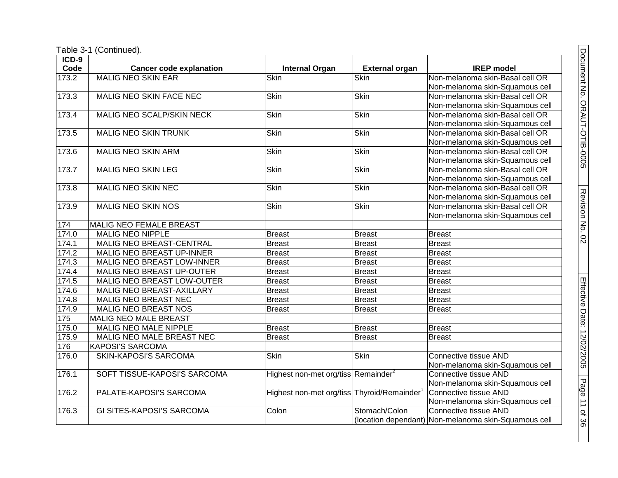Table 3-1 (Continued).

| $ICD-9$ |                                  |                                                         |                       |                                                      |
|---------|----------------------------------|---------------------------------------------------------|-----------------------|------------------------------------------------------|
| Code    | <b>Cancer code explanation</b>   | <b>Internal Organ</b>                                   | <b>External organ</b> | <b>IREP</b> model                                    |
| 173.2   | <b>MALIG NEO SKIN EAR</b>        | <b>Skin</b>                                             | Skin                  | Non-melanoma skin-Basal cell OR                      |
|         |                                  |                                                         |                       | Non-melanoma skin-Squamous cell                      |
| 173.3   | MALIG NEO SKIN FACE NEC          | Skin                                                    | Skin                  | Non-melanoma skin-Basal cell OR                      |
|         |                                  |                                                         |                       | Non-melanoma skin-Squamous cell                      |
| 173.4   | MALIG NEO SCALP/SKIN NECK        | Skin                                                    | <b>Skin</b>           | Non-melanoma skin-Basal cell OR                      |
|         |                                  |                                                         |                       | Non-melanoma skin-Squamous cell                      |
| 173.5   | <b>MALIG NEO SKIN TRUNK</b>      | Skin                                                    | <b>Skin</b>           | Non-melanoma skin-Basal cell OR                      |
|         |                                  |                                                         |                       | Non-melanoma skin-Squamous cell                      |
| 173.6   | <b>MALIG NEO SKIN ARM</b>        | Skin                                                    | Skin                  | Non-melanoma skin-Basal cell OR                      |
|         |                                  |                                                         |                       | Non-melanoma skin-Squamous cell                      |
| 173.7   | <b>MALIG NEO SKIN LEG</b>        | Skin                                                    | <b>Skin</b>           | Non-melanoma skin-Basal cell OR                      |
|         |                                  |                                                         |                       | Non-melanoma skin-Squamous cell                      |
| 173.8   | <b>MALIG NEO SKIN NEC</b>        | <b>Skin</b>                                             | <b>Skin</b>           | Non-melanoma skin-Basal cell OR                      |
|         |                                  |                                                         |                       | Non-melanoma skin-Squamous cell                      |
| 173.9   | MALIG NEO SKIN NOS               | <b>Skin</b>                                             | Skin                  | Non-melanoma skin-Basal cell OR                      |
|         |                                  |                                                         |                       | Non-melanoma skin-Squamous cell                      |
| 174     | <b>MALIG NEO FEMALE BREAST</b>   |                                                         |                       |                                                      |
| 174.0   | <b>MALIG NEO NIPPLE</b>          | <b>Breast</b>                                           | <b>Breast</b>         | <b>Breast</b>                                        |
| 174.1   | MALIG NEO BREAST-CENTRAL         | <b>Breast</b>                                           | <b>Breast</b>         | <b>Breast</b>                                        |
| 174.2   | MALIG NEO BREAST UP-INNER        | <b>Breast</b>                                           | <b>Breast</b>         | <b>Breast</b>                                        |
| 174.3   | MALIG NEO BREAST LOW-INNER       | <b>Breast</b>                                           | <b>Breast</b>         | <b>Breast</b>                                        |
| 174.4   | MALIG NEO BREAST UP-OUTER        | <b>Breast</b>                                           | <b>Breast</b>         | Breast                                               |
| 174.5   | MALIG NEO BREAST LOW-OUTER       | <b>Breast</b>                                           | <b>Breast</b>         | <b>Breast</b>                                        |
| 174.6   | MALIG NEO BREAST-AXILLARY        | <b>Breast</b>                                           | <b>Breast</b>         | <b>Breast</b>                                        |
| 174.8   | <b>MALIG NEO BREAST NEC</b>      | <b>Breast</b>                                           | <b>Breast</b>         | <b>Breast</b>                                        |
| 174.9   | <b>MALIG NEO BREAST NOS</b>      | <b>Breast</b>                                           | <b>Breast</b>         | <b>Breast</b>                                        |
| 175     | MALIG NEO MALE BREAST            |                                                         |                       |                                                      |
| 175.0   | MALIG NEO MALE NIPPLE            | <b>Breast</b>                                           | <b>Breast</b>         | <b>Breast</b>                                        |
| 175.9   | MALIG NEO MALE BREAST NEC        | <b>Breast</b>                                           | <b>Breast</b>         | <b>Breast</b>                                        |
| 176     | <b>KAPOSI'S SARCOMA</b>          |                                                         |                       |                                                      |
| 176.0   | <b>SKIN-KAPOSI'S SARCOMA</b>     | <b>Skin</b>                                             | <b>Skin</b>           | <b>Connective tissue AND</b>                         |
|         |                                  |                                                         |                       | Non-melanoma skin-Squamous cell                      |
| 176.1   | SOFT TISSUE-KAPOSI'S SARCOMA     | Highest non-met org/tiss Remainder <sup>2</sup>         |                       | Connective tissue AND                                |
|         |                                  |                                                         |                       | Non-melanoma skin-Squamous cell                      |
| 176.2   | PALATE-KAPOSI'S SARCOMA          | Highest non-met org/tiss Thyroid/Remainder <sup>1</sup> |                       | Connective tissue AND                                |
|         |                                  |                                                         |                       | Non-melanoma skin-Squamous cell                      |
| 176.3   | <b>GI SITES-KAPOSI'S SARCOMA</b> | Colon                                                   | Stomach/Colon         | Connective tissue AND                                |
|         |                                  |                                                         |                       | (location dependant) Non-melanoma skin-Squamous cell |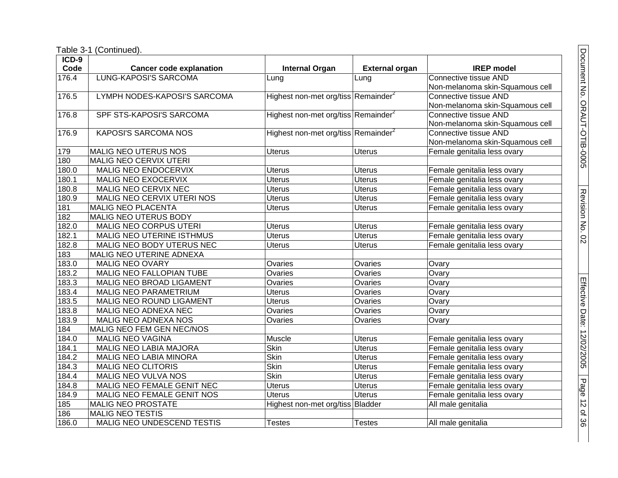| $ICD-9$ |                                |                                                 |                       |                                 |
|---------|--------------------------------|-------------------------------------------------|-----------------------|---------------------------------|
| Code    | <b>Cancer code explanation</b> | <b>Internal Organ</b>                           | <b>External organ</b> | <b>IREP</b> model               |
| 176.4   | <b>LUNG-KAPOSI'S SARCOMA</b>   | Lung                                            | Lung                  | <b>Connective tissue AND</b>    |
|         |                                |                                                 |                       | Non-melanoma skin-Squamous cell |
| 176.5   | LYMPH NODES-KAPOSI'S SARCOMA   | Highest non-met org/tiss Remainder <sup>2</sup> |                       | Connective tissue AND           |
|         |                                |                                                 |                       | Non-melanoma skin-Squamous cell |
| 176.8   | SPF STS-KAPOSI'S SARCOMA       | Highest non-met org/tiss Remainder <sup>2</sup> |                       | Connective tissue AND           |
|         |                                |                                                 |                       | Non-melanoma skin-Squamous cell |
| 176.9   | <b>KAPOSI'S SARCOMA NOS</b>    | Highest non-met org/tiss Remainder <sup>2</sup> |                       | Connective tissue AND           |
|         |                                |                                                 |                       | Non-melanoma skin-Squamous cell |
| 179     | <b>MALIG NEO UTERUS NOS</b>    | <b>Uterus</b>                                   | <b>Uterus</b>         | Female genitalia less ovary     |
| 180     | MALIG NEO CERVIX UTERI         |                                                 |                       |                                 |
| 180.0   | MALIG NEO ENDOCERVIX           | <b>Uterus</b>                                   | <b>Uterus</b>         | Female genitalia less ovary     |
| 180.1   | MALIG NEO EXOCERVIX            | <b>Uterus</b>                                   | <b>Uterus</b>         | Female genitalia less ovary     |
| 180.8   | MALIG NEO CERVIX NEC           | <b>Uterus</b>                                   | <b>Uterus</b>         | Female genitalia less ovary     |
| 180.9   | MALIG NEO CERVIX UTERI NOS     | Uterus                                          | Uterus                | Female genitalia less ovary     |
| 181     | <b>MALIG NEO PLACENTA</b>      | Uterus                                          | <b>Uterus</b>         | Female genitalia less ovary     |
| 182     | MALIG NEO UTERUS BODY          |                                                 |                       |                                 |
| 182.0   | MALIG NEO CORPUS UTERI         | <b>Uterus</b>                                   | <b>Uterus</b>         | Female genitalia less ovary     |
| 182.1   | MALIG NEO UTERINE ISTHMUS      | <b>Uterus</b>                                   | <b>Uterus</b>         | Female genitalia less ovary     |
| 182.8   | MALIG NEO BODY UTERUS NEC      | <b>Uterus</b>                                   | <b>Uterus</b>         | Female genitalia less ovary     |
| 183     | MALIG NEO UTERINE ADNEXA       |                                                 |                       |                                 |
| 183.0   | <b>MALIG NEO OVARY</b>         | Ovaries                                         | Ovaries               | Ovary                           |
| 183.2   | MALIG NEO FALLOPIAN TUBE       | Ovaries                                         | Ovaries               | Ovary                           |
| 183.3   | MALIG NEO BROAD LIGAMENT       | Ovaries                                         | Ovaries               | Ovary                           |
| 183.4   | <b>MALIG NEO PARAMETRIUM</b>   | <b>Uterus</b>                                   | Ovaries               | Ovary                           |
| 183.5   | MALIG NEO ROUND LIGAMENT       | <b>Uterus</b>                                   | Ovaries               | Ovary                           |
| 183.8   | MALIG NEO ADNEXA NEC           | Ovaries                                         | Ovaries               | Ovary                           |
| 183.9   | MALIG NEO ADNEXA NOS           | Ovaries                                         | Ovaries               | Ovary                           |
| 184     | MALIG NEO FEM GEN NEC/NOS      |                                                 |                       |                                 |
| 184.0   | MALIG NEO VAGINA               | Muscle                                          | <b>Uterus</b>         | Female genitalia less ovary     |
| 184.1   | MALIG NEO LABIA MAJORA         | <b>Skin</b>                                     | <b>Uterus</b>         | Female genitalia less ovary     |
| 184.2   | MALIG NEO LABIA MINORA         | <b>Skin</b>                                     | <b>Uterus</b>         | Female genitalia less ovary     |
| 184.3   | <b>MALIG NEO CLITORIS</b>      | <b>Skin</b>                                     | <b>Uterus</b>         | Female genitalia less ovary     |
| 184.4   | MALIG NEO VULVA NOS            | <b>Skin</b>                                     | <b>Uterus</b>         | Female genitalia less ovary     |
| 184.8   | MALIG NEO FEMALE GENIT NEC     | <b>Uterus</b>                                   | <b>Uterus</b>         | Female genitalia less ovary     |
| 184.9   | MALIG NEO FEMALE GENIT NOS     | <b>Uterus</b>                                   | <b>Uterus</b>         | Female genitalia less ovary     |
| 185     | <b>MALIG NEO PROSTATE</b>      | Highest non-met org/tiss Bladder                |                       | All male genitalia              |
| 186     | <b>MALIG NEO TESTIS</b>        |                                                 |                       |                                 |
| 186.0   | MALIG NEO UNDESCEND TESTIS     | <b>Testes</b>                                   | <b>Testes</b>         | All male genitalia              |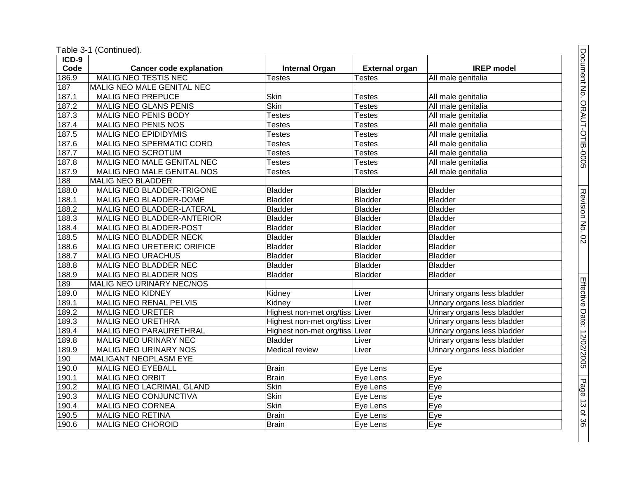| ICD-9 |                                |                                |                       |                             |
|-------|--------------------------------|--------------------------------|-----------------------|-----------------------------|
| Code  | <b>Cancer code explanation</b> | <b>Internal Organ</b>          | <b>External organ</b> | <b>IREP</b> model           |
| 186.9 | <b>MALIG NEO TESTIS NEC</b>    | <b>Testes</b>                  | <b>Testes</b>         | All male genitalia          |
| 187   | MALIG NEO MALE GENITAL NEC     |                                |                       |                             |
| 187.1 | <b>MALIG NEO PREPUCE</b>       | <b>Skin</b>                    | <b>Testes</b>         | All male genitalia          |
| 187.2 | <b>MALIG NEO GLANS PENIS</b>   | <b>Skin</b>                    | <b>Testes</b>         | All male genitalia          |
| 187.3 | MALIG NEO PENIS BODY           | <b>Testes</b>                  | <b>Testes</b>         | All male genitalia          |
| 187.4 | MALIG NEO PENIS NOS            | Testes                         | <b>Testes</b>         | All male genitalia          |
| 187.5 | <b>MALIG NEO EPIDIDYMIS</b>    | <b>Testes</b>                  | <b>Testes</b>         | All male genitalia          |
| 187.6 | MALIG NEO SPERMATIC CORD       | <b>Testes</b>                  | <b>Testes</b>         | All male genitalia          |
| 187.7 | MALIG NEO SCROTUM              | <b>Testes</b>                  | <b>Testes</b>         | All male genitalia          |
| 187.8 | MALIG NEO MALE GENITAL NEC     | <b>Testes</b>                  | <b>Testes</b>         | All male genitalia          |
| 187.9 | MALIG NEO MALE GENITAL NOS     | <b>Testes</b>                  | <b>Testes</b>         | All male genitalia          |
| 188   | <b>MALIG NEO BLADDER</b>       |                                |                       |                             |
| 188.0 | MALIG NEO BLADDER-TRIGONE      | <b>Bladder</b>                 | <b>Bladder</b>        | <b>Bladder</b>              |
| 188.1 | <b>MALIG NEO BLADDER-DOME</b>  | <b>Bladder</b>                 | <b>Bladder</b>        | <b>Bladder</b>              |
| 188.2 | MALIG NEO BLADDER-LATERAL      | <b>Bladder</b>                 | <b>Bladder</b>        | <b>Bladder</b>              |
| 188.3 | MALIG NEO BLADDER-ANTERIOR     | <b>Bladder</b>                 | <b>Bladder</b>        | <b>Bladder</b>              |
| 188.4 | MALIG NEO BLADDER-POST         | <b>Bladder</b>                 | <b>Bladder</b>        | <b>Bladder</b>              |
| 188.5 | <b>MALIG NEO BLADDER NECK</b>  | <b>Bladder</b>                 | <b>Bladder</b>        | <b>Bladder</b>              |
| 188.6 | MALIG NEO URETERIC ORIFICE     | <b>Bladder</b>                 | <b>Bladder</b>        | <b>Bladder</b>              |
| 188.7 | MALIG NEO URACHUS              | <b>Bladder</b>                 | <b>Bladder</b>        | <b>Bladder</b>              |
| 188.8 | MALIG NEO BLADDER NEC          | <b>Bladder</b>                 | <b>Bladder</b>        | <b>Bladder</b>              |
| 188.9 | <b>MALIG NEO BLADDER NOS</b>   | <b>Bladder</b>                 | <b>Bladder</b>        | <b>Bladder</b>              |
| 189   | MALIG NEO URINARY NEC/NOS      |                                |                       |                             |
| 189.0 | <b>MALIG NEO KIDNEY</b>        | Kidney                         | Liver                 | Urinary organs less bladder |
| 189.1 | MALIG NEO RENAL PELVIS         | Kidney                         | Liver                 | Urinary organs less bladder |
| 189.2 | <b>MALIG NEO URETER</b>        | Highest non-met org/tiss       | Liver                 | Urinary organs less bladder |
| 189.3 | MALIG NEO URETHRA              | Highest non-met org/tiss Liver |                       | Urinary organs less bladder |
| 189.4 | MALIG NEO PARAURETHRAL         | Highest non-met org/tiss Liver |                       | Urinary organs less bladder |
| 189.8 | MALIG NEO URINARY NEC          | <b>Bladder</b>                 | Liver                 | Urinary organs less bladder |
| 189.9 | MALIG NEO URINARY NOS          | Medical review                 | Liver                 | Urinary organs less bladder |
| 190   | MALIGANT NEOPLASM EYE          |                                |                       |                             |
| 190.0 | <b>MALIG NEO EYEBALL</b>       | <b>Brain</b>                   | Eye Lens              | Eye                         |
| 190.1 | <b>MALIG NEO ORBIT</b>         | <b>Brain</b>                   | Eye Lens              | Eye                         |
| 190.2 | MALIG NEO LACRIMAL GLAND       | <b>Skin</b>                    | Eye Lens              | Eye                         |
| 190.3 | MALIG NEO CONJUNCTIVA          | <b>Skin</b>                    | Eye Lens              | Eye                         |
| 190.4 | <b>MALIG NEO CORNEA</b>        | <b>Skin</b>                    | Eye Lens              | Eye                         |
| 190.5 | <b>MALIG NEO RETINA</b>        | <b>Brain</b>                   | Eye Lens              | Eye                         |
| 190.6 | MALIG NEO CHOROID              | Brain                          | Eye Lens              | Eye                         |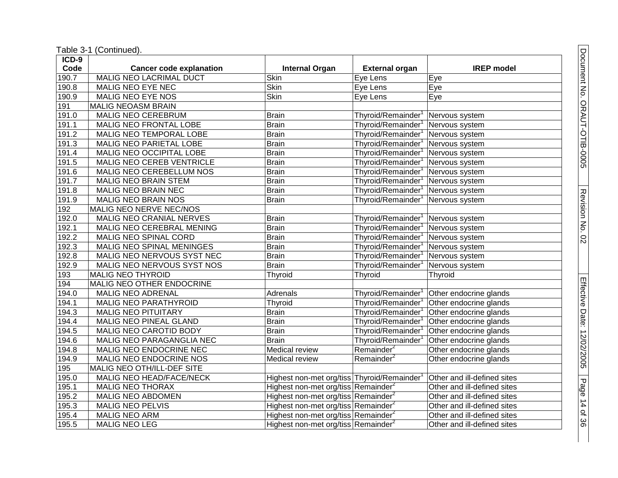Table 3 -1 (Continued).

| $ICD-9$            |                                  |                                                 |                        |                             |
|--------------------|----------------------------------|-------------------------------------------------|------------------------|-----------------------------|
| Code               | <b>Cancer code explanation</b>   | <b>Internal Organ</b>                           | <b>External organ</b>  | <b>IREP</b> model           |
| $\overline{190.7}$ | <b>MALIG NEO LACRIMAL DUCT</b>   | <b>Skin</b>                                     | Eye Lens               | Eye                         |
| 190.8              | <b>MALIG NEO EYE NEC</b>         | Skin                                            | Eye Lens               | Eye                         |
| 190.9              | MALIG NEO EYE NOS                | <b>Skin</b>                                     | Eye Lens               | Eye                         |
| 191                | <b>MALIG NEOASM BRAIN</b>        |                                                 |                        |                             |
| 191.0              | MALIG NEO CEREBRUM               | <b>Brain</b>                                    | Thyroid/Remainder      | Nervous system              |
| 191.1              | MALIG NEO FRONTAL LOBE           | <b>Brain</b>                                    | Thyroid/Remainder      | Nervous system              |
| 191.2              | MALIG NEO TEMPORAL LOBE          | <b>Brain</b>                                    | Thyroid/Remainder      | Nervous system              |
| 191.3              | MALIG NEO PARIETAL LOBE          | <b>Brain</b>                                    | Thyroid/Remainder      | Nervous system              |
| 191.4              | MALIG NEO OCCIPITAL LOBE         | <b>Brain</b>                                    | Thyroid/Remainder      | Nervous system              |
| 191.5              | MALIG NEO CEREB VENTRICLE        | <b>Brain</b>                                    | Thyroid/Remainder      | Nervous system              |
| 191.6              | MALIG NEO CEREBELLUM NOS         | <b>Brain</b>                                    | Thyroid/Remainder      | Nervous system              |
| 191.7              | <b>MALIG NEO BRAIN STEM</b>      | <b>Brain</b>                                    | Thyroid/Remainder      | Nervous system              |
| 191.8              | <b>MALIG NEO BRAIN NEC</b>       | <b>Brain</b>                                    | Thyroid/Remainder      | Nervous system              |
| 191.9              | MALIG NEO BRAIN NOS              | <b>Brain</b>                                    | Thyroid/Remainder      | Nervous system              |
| 192                | MALIG NEO NERVE NEC/NOS          |                                                 |                        |                             |
| 192.0              | MALIG NEO CRANIAL NERVES         | <b>Brain</b>                                    | Thyroid/Remainder      | Nervous system              |
| 192.1              | MALIG NEO CEREBRAL MENING        | <b>Brain</b>                                    | Thyroid/Remainder      | Nervous system              |
| 192.2              | <b>MALIG NEO SPINAL CORD</b>     | <b>Brain</b>                                    | Thyroid/Remainder      | Nervous system              |
| 192.3              | <b>MALIG NEO SPINAL MENINGES</b> | <b>Brain</b>                                    | Thyroid/Remainder      | Nervous system              |
| 192.8              | MALIG NEO NERVOUS SYST NEC       | <b>Brain</b>                                    | Thyroid/Remainder      | Nervous system              |
| 192.9              | MALIG NEO NERVOUS SYST NOS       | <b>Brain</b>                                    | Thyroid/Remainder      | Nervous system              |
| 193                | <b>MALIG NEO THYROID</b>         | <b>Thyroid</b>                                  | Thyroid                | Thyroid                     |
| 194                | MALIG NEO OTHER ENDOCRINE        |                                                 |                        |                             |
| 194.0              | <b>MALIG NEO ADRENAL</b>         | Adrenals                                        | Thyroid/Remainder      | Other endocrine glands      |
| 194.1              | <b>MALIG NEO PARATHYROID</b>     | Thyroid                                         | Thyroid/Remainder      | Other endocrine glands      |
| 194.3              | <b>MALIG NEO PITUITARY</b>       | <b>Brain</b>                                    | Thyroid/Remainder      | Other endocrine glands      |
| 194.4              | MALIG NEO PINEAL GLAND           | <b>Brain</b>                                    | Thyroid/Remainder      | Other endocrine glands      |
| 194.5              | MALIG NEO CAROTID BODY           | <b>Brain</b>                                    | Thyroid/Remainder      | Other endocrine glands      |
| 194.6              | MALIG NEO PARAGANGLIA NEC        | <b>Brain</b>                                    | Thyroid/Remainder      | Other endocrine glands      |
| 194.8              | MALIG NEO ENDOCRINE NEC          | Medical review                                  | Remainder <sup>2</sup> | Other endocrine glands      |
| 194.9              | MALIG NEO ENDOCRINE NOS          | Medical review                                  | Remainder <sup>2</sup> | Other endocrine glands      |
| 195                | MALIG NEO OTH/ILL-DEF SITE       |                                                 |                        |                             |
| 195.0              | MALIG NEO HEAD/FACE/NECK         | Highest non-met org/tiss Thyroid/Remainder      |                        | Other and ill-defined sites |
| 195.1              | <b>MALIG NEO THORAX</b>          | Highest non-met org/tiss Remainder <sup>2</sup> |                        | Other and ill-defined sites |
| 195.2              | MALIG NEO ABDOMEN                | Highest non-met org/tiss Remainder <sup>2</sup> |                        | Other and ill-defined sites |
| 195.3              | <b>MALIG NEO PELVIS</b>          | Highest non-met org/tiss Remainder <sup>2</sup> |                        | Other and ill-defined sites |
| 195.4              | <b>MALIG NEO ARM</b>             | Highest non-met org/tiss Remainder <sup>2</sup> |                        | Other and ill-defined sites |
| 195.5              | <b>MALIG NEO LEG</b>             | Highest non-met org/tiss Remainder <sup>2</sup> |                        | Other and ill-defined sites |

Document No. ORAUT-OTIB-0005 Document No. ORAUT-OTIB-0005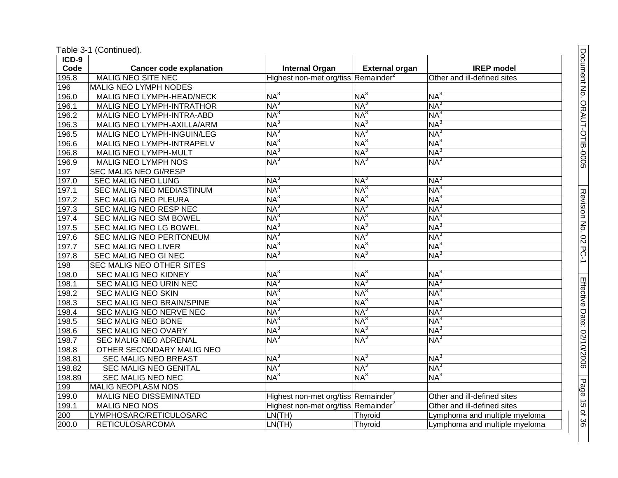|  | Table 3-1 (Continued). |
|--|------------------------|
|--|------------------------|

| $ICD-9$ |                                   |                                                 |                       |                               |
|---------|-----------------------------------|-------------------------------------------------|-----------------------|-------------------------------|
| Code    | <b>Cancer code explanation</b>    | <b>Internal Organ</b>                           | <b>External organ</b> | <b>IREP</b> model             |
| 195.8   | <b>MALIG NEO SITE NEC</b>         | Highest non-met org/tiss Remainder <sup>2</sup> |                       | Other and ill-defined sites   |
| 196     | <b>MALIG NEO LYMPH NODES</b>      |                                                 |                       |                               |
| 196.0   | MALIG NEO LYMPH-HEAD/NECK         | NA <sup>3</sup>                                 | $NA^3$                | $NA^3$                        |
| 196.1   | MALIG NEO LYMPH-INTRATHOR         | NA <sup>3</sup>                                 | $NA^3$                | $NA^3$                        |
| 196.2   | MALIG NEO LYMPH-INTRA-ABD         | NA <sup>3</sup>                                 | NA <sup>3</sup>       | NA <sup>3</sup>               |
| 196.3   | MALIG NEO LYMPH-AXILLA/ARM        | NA <sup>3</sup>                                 | $NA^3$                | $NA^3$                        |
| 196.5   | <b>MALIG NEO LYMPH-INGUIN/LEG</b> | NA <sup>3</sup>                                 | $NA^3$                | $NA^3$                        |
| 196.6   | MALIG NEO LYMPH-INTRAPELV         | NA <sup>3</sup>                                 | $NA^3$                | NA <sup>3</sup>               |
| 196.8   | <b>MALIG NEO LYMPH-MULT</b>       | $NA^3$                                          | $NA^3$                | NA <sup>3</sup>               |
| 196.9   | <b>MALIG NEO LYMPH NOS</b>        | NA <sup>3</sup>                                 | $NA^3$                | $NA^3$                        |
| 197     | <b>SEC MALIG NEO GI/RESP</b>      |                                                 |                       |                               |
| 197.0   | SEC MALIG NEO LUNG                | NA <sup>3</sup>                                 | $NA^3$                | $NA^3$                        |
| 197.1   | <b>SEC MALIG NEO MEDIASTINUM</b>  | NA <sup>3</sup>                                 | $NA^3$                | $NA^3$                        |
| 197.2   | <b>SEC MALIG NEO PLEURA</b>       | NA <sup>3</sup>                                 | $NA^3$                | $NA^3$                        |
| 197.3   | <b>SEC MALIG NEO RESP NEC</b>     | NA <sup>3</sup>                                 | $NA^3$                | NA <sup>3</sup>               |
| 197.4   | <b>SEC MALIG NEO SM BOWEL</b>     | NA <sup>3</sup>                                 | $NA^3$                | NA <sup>3</sup>               |
| 197.5   | <b>SEC MALIG NEO LG BOWEL</b>     | NA <sup>3</sup>                                 | $NA^3$                | $NA^3$                        |
| 197.6   | SEC MALIG NEO PERITONEUM          | NA <sup>3</sup>                                 | $NA^3$                | $NA^3$                        |
| 197.7   | <b>SEC MALIG NEO LIVER</b>        | NA <sup>3</sup>                                 | $NA^3$                | $NA^3$                        |
| 197.8   | <b>SEC MALIG NEO GI NEC</b>       | NA <sup>3</sup>                                 | $NA^3$                | $NA^3$                        |
| 198     | SEC MALIG NEO OTHER SITES         |                                                 |                       |                               |
| 198.0   | <b>SEC MALIG NEO KIDNEY</b>       | NA <sup>3</sup>                                 | NA <sup>3</sup>       | NA <sup>3</sup>               |
| 198.1   | SEC MALIG NEO URIN NEC            | NA <sup>3</sup>                                 | $NA^3$                | NA <sup>3</sup>               |
| 198.2   | SEC MALIG NEO SKIN                | NA <sup>3</sup>                                 | $NA^3$                | $NA^3$                        |
| 198.3   | SEC MALIG NEO BRAIN/SPINE         | NA <sup>3</sup>                                 | $NA^3$                | $NA^3$                        |
| 198.4   | SEC MALIG NEO NERVE NEC           | NA <sup>3</sup>                                 | $NA^3$                | $NA^3$                        |
| 198.5   | <b>SEC MALIG NEO BONE</b>         | NA <sup>3</sup>                                 | $NA^3$                | $NA^3$                        |
| 198.6   | <b>SEC MALIG NEO OVARY</b>        | $NA^3$                                          | $NA^3$                | $NA^3$                        |
| 198.7   | <b>SEC MALIG NEO ADRENAL</b>      | NA <sup>3</sup>                                 | $NA^3$                | NA <sup>3</sup>               |
| 198.8   | OTHER SECONDARY MALIG NEO         |                                                 |                       |                               |
| 198.81  | <b>SEC MALIG NEO BREAST</b>       | NA <sup>3</sup>                                 | $NA^3$                | $NA^3$                        |
| 198.82  | <b>SEC MALIG NEO GENITAL</b>      | NA <sup>3</sup>                                 | $NA^3$                | NA <sup>3</sup>               |
| 198.89  | SEC MALIG NEO NEC                 | NA <sup>3</sup>                                 | $\overline{\sf NA}^3$ | $NA^3$                        |
| 199     | <b>MALIG NEOPLASM NOS</b>         |                                                 |                       |                               |
| 199.0   | MALIG NEO DISSEMINATED            | Highest non-met org/tiss Remainder <sup>2</sup> |                       | Other and ill-defined sites   |
| 199.1   | <b>MALIG NEO NOS</b>              | Highest non-met org/tiss Remainder <sup>2</sup> |                       | Other and ill-defined sites   |
| 200     | LYMPHOSARC/RETICULOSARC           | LN(TH)                                          | Thyroid               | Lymphoma and multiple myeloma |
| 200.0   | <b>RETICULOSARCOMA</b>            | LN(TH)                                          | Thyroid               | Lymphoma and multiple myeloma |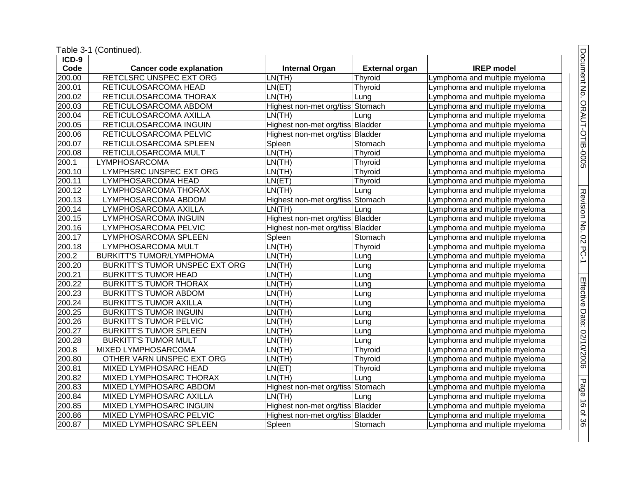| ICD-9               |                                 |                                  |                       |                               |
|---------------------|---------------------------------|----------------------------------|-----------------------|-------------------------------|
| Code                | <b>Cancer code explanation</b>  | <b>Internal Organ</b>            | <b>External organ</b> | <b>IREP</b> model             |
| 200.00              | RETCLSRC UNSPEC EXT ORG         | LN(TH)                           | Thyroid               | Lymphoma and multiple myeloma |
| 200.01              | RETICULOSARCOMA HEAD            | LN(ET)                           | Thyroid               | Lymphoma and multiple myeloma |
| 200.02              | RETICULOSARCOMA THORAX          | LN(TH)                           | Lung                  | Lymphoma and multiple myeloma |
| 200.03              | RETICULOSARCOMA ABDOM           | Highest non-met org/tiss Stomach |                       | Lymphoma and multiple myeloma |
| 200.04              | RETICULOSARCOMA AXILLA          | LN(TH)                           | Lung                  | Lymphoma and multiple myeloma |
| 200.05              | RETICULOSARCOMA INGUIN          | Highest non-met org/tiss Bladder |                       | Lymphoma and multiple myeloma |
| 200.06              | RETICULOSARCOMA PELVIC          | Highest non-met org/tiss Bladder |                       | Lymphoma and multiple myeloma |
| 200.07              | RETICULOSARCOMA SPLEEN          | Spleen                           | Stomach               | Lymphoma and multiple myeloma |
| 200.08              | RETICULOSARCOMA MULT            | LN(TH)                           | Thyroid               | Lymphoma and multiple myeloma |
| 200.1               | LYMPHOSARCOMA                   | LN(TH)                           | Thyroid               | Lymphoma and multiple myeloma |
| 200.10              | <b>LYMPHSRC UNSPEC EXT ORG</b>  | LN(TH)                           | Thyroid               | Lymphoma and multiple myeloma |
| 200.11              | LYMPHOSARCOMA HEAD              | LN(ET)                           | Thyroid               | Lymphoma and multiple myeloma |
| 200.12              | LYMPHOSARCOMA THORAX            | LN(TH)                           | Lung                  | Lymphoma and multiple myeloma |
| 200.13              | LYMPHOSARCOMA ABDOM             | Highest non-met org/tiss Stomach |                       | Lymphoma and multiple myeloma |
| 200.14              | LYMPHOSARCOMA AXILLA            | LN(TH)                           | Lung                  | Lymphoma and multiple myeloma |
| 200.15              | LYMPHOSARCOMA INGUIN            | Highest non-met org/tiss Bladder |                       | Lymphoma and multiple myeloma |
| 200.16              | LYMPHOSARCOMA PELVIC            | Highest non-met org/tiss Bladder |                       | Lymphoma and multiple myeloma |
| 200.17              | LYMPHOSARCOMA SPLEEN            | Spleen                           | Stomach               | Lymphoma and multiple myeloma |
| 200.18              | LYMPHOSARCOMA MULT              | LN(TH)                           | Thyroid               | Lymphoma and multiple myeloma |
| 200.2               | <b>BURKITT'S TUMOR/LYMPHOMA</b> | LN(TH)                           | Lung                  | Lymphoma and multiple myeloma |
| 200.20              | BURKITT'S TUMOR UNSPEC EXT ORG  | LN(TH)                           | Lung                  | Lymphoma and multiple myeloma |
| 200.21              | <b>BURKITT'S TUMOR HEAD</b>     | LN(TH)                           | Lung                  | Lymphoma and multiple myeloma |
| 200.22              | <b>BURKITT'S TUMOR THORAX</b>   | LN(TH)                           | Lung                  | Lymphoma and multiple myeloma |
| 200.23              | <b>BURKITT'S TUMOR ABDOM</b>    | LN(TH)                           | Lung                  | Lymphoma and multiple myeloma |
| $\overline{200.24}$ | <b>BURKITT'S TUMOR AXILLA</b>   | LN(TH)                           | Lung                  | Lymphoma and multiple myeloma |
| 200.25              | <b>BURKITT'S TUMOR INGUIN</b>   | LN(TH)                           | Lung                  | Lymphoma and multiple myeloma |
| 200.26              | <b>BURKITT'S TUMOR PELVIC</b>   | LN(TH)                           | Lung                  | Lymphoma and multiple myeloma |
| 200.27              | <b>BURKITT'S TUMOR SPLEEN</b>   | LN(TH)                           | Lung                  | Lymphoma and multiple myeloma |
| 200.28              | <b>BURKITT'S TUMOR MULT</b>     | LN(TH)                           | Lung                  | Lymphoma and multiple myeloma |
| 200.8               | MIXED LYMPHOSARCOMA             | LN(TH)                           | Thyroid               | Lymphoma and multiple myeloma |
| 200.80              | OTHER VARN UNSPEC EXT ORG       | LN(TH)                           | Thyroid               | Lymphoma and multiple myeloma |
| 200.81              | <b>MIXED LYMPHOSARC HEAD</b>    | LN(ET)                           | Thyroid               | Lymphoma and multiple myeloma |
| 200.82              | MIXED LYMPHOSARC THORAX         | LN(TH)                           | Lung                  | Lymphoma and multiple myeloma |
| 200.83              | MIXED LYMPHOSARC ABDOM          | Highest non-met org/tiss Stomach |                       | Lymphoma and multiple myeloma |
| 200.84              | MIXED LYMPHOSARC AXILLA         | LN(TH)                           | Lung                  | Lymphoma and multiple myeloma |
| 200.85              | MIXED LYMPHOSARC INGUIN         | Highest non-met org/tiss Bladder |                       | Lymphoma and multiple myeloma |
| 200.86              | <b>MIXED LYMPHOSARC PELVIC</b>  | Highest non-met org/tiss Bladder |                       | Lymphoma and multiple myeloma |
| 200.87              | MIXED LYMPHOSARC SPLEEN         | Spleen                           | Stomach               | Lymphoma and multiple myeloma |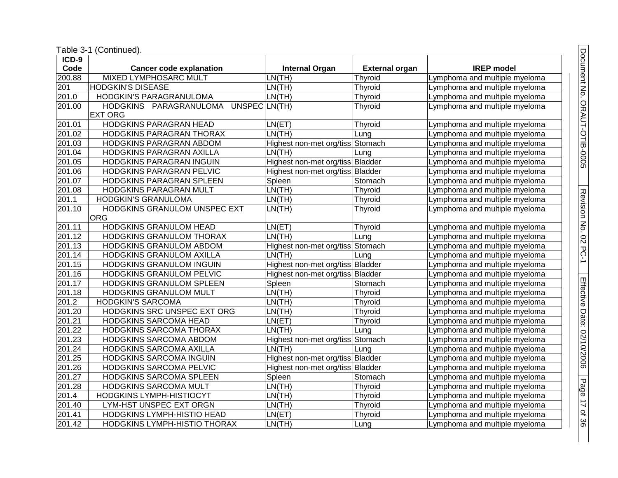| $ICD-9$ |                                         |                                  |                       |                               |
|---------|-----------------------------------------|----------------------------------|-----------------------|-------------------------------|
| Code    | <b>Cancer code explanation</b>          | <b>Internal Organ</b>            | <b>External organ</b> | <b>IREP</b> model             |
| 200.88  | <b>MIXED LYMPHOSARC MULT</b>            | LN(TH)                           | Thyroid               | Lymphoma and multiple myeloma |
| 201     | <b>HODGKIN'S DISEASE</b>                | LN(TH)                           | Thyroid               | Lymphoma and multiple myeloma |
| 201.0   | <b>HODGKIN'S PARAGRANULOMA</b>          | LN(TH)                           | Thyroid               | Lymphoma and multiple myeloma |
| 201.00  | HODGKINS PARAGRANULOMA<br>UNSPEC LN(TH) |                                  | Thyroid               | Lymphoma and multiple myeloma |
|         | <b>EXT ORG</b>                          |                                  |                       |                               |
| 201.01  | HODGKINS PARAGRAN HEAD                  | LN(ET)                           | Thyroid               | Lymphoma and multiple myeloma |
| 201.02  | HODGKINS PARAGRAN THORAX                | LN(TH)                           | Lung                  | Lymphoma and multiple myeloma |
| 201.03  | HODGKINS PARAGRAN ABDOM                 | Highest non-met org/tiss Stomach |                       | Lymphoma and multiple myeloma |
| 201.04  | HODGKINS PARAGRAN AXILLA                | LN(TH)                           | Lung                  | Lymphoma and multiple myeloma |
| 201.05  | HODGKINS PARAGRAN INGUIN                | Highest non-met org/tiss Bladder |                       | Lymphoma and multiple myeloma |
| 201.06  | HODGKINS PARAGRAN PELVIC                | Highest non-met org/tiss Bladder |                       | Lymphoma and multiple myeloma |
| 201.07  | HODGKINS PARAGRAN SPLEEN                | Spleen                           | Stomach               | Lymphoma and multiple myeloma |
| 201.08  | HODGKINS PARAGRAN MULT                  | LN(TH)                           | Thyroid               | Lymphoma and multiple myeloma |
| 201.1   | <b>HODGKIN'S GRANULOMA</b>              | LN(TH)                           | Thyroid               | Lymphoma and multiple myeloma |
| 201.10  | HODGKINS GRANULOM UNSPEC EXT            | LN(TH)                           | Thyroid               | Lymphoma and multiple myeloma |
|         | <b>ORG</b>                              |                                  |                       |                               |
| 201.11  | <b>HODGKINS GRANULOM HEAD</b>           | LN(ET)                           | Thyroid               | Lymphoma and multiple myeloma |
| 201.12  | HODGKINS GRANULOM THORAX                | LN(TH)                           | Lung                  | Lymphoma and multiple myeloma |
| 201.13  | <b>HODGKINS GRANULOM ABDOM</b>          | Highest non-met org/tiss         | Stomach               | Lymphoma and multiple myeloma |
| 201.14  | HODGKINS GRANULOM AXILLA                | LN(TH)                           | Lung                  | Lymphoma and multiple myeloma |
| 201.15  | HODGKINS GRANULOM INGUIN                | Highest non-met org/tiss Bladder |                       | Lymphoma and multiple myeloma |
| 201.16  | HODGKINS GRANULOM PELVIC                | Highest non-met org/tiss Bladder |                       | Lymphoma and multiple myeloma |
| 201.17  | HODGKINS GRANULOM SPLEEN                | Spleen                           | Stomach               | Lymphoma and multiple myeloma |
| 201.18  | <b>HODGKINS GRANULOM MULT</b>           | LN(TH)                           | Thyroid               | Lymphoma and multiple myeloma |
| 201.2   | <b>HODGKIN'S SARCOMA</b>                | LN(TH)                           | Thyroid               | Lymphoma and multiple myeloma |
| 201.20  | HODGKINS SRC UNSPEC EXT ORG             | LN(TH)                           | Thyroid               | Lymphoma and multiple myeloma |
| 201.21  | HODGKINS SARCOMA HEAD                   | LN(ET)                           | Thyroid               | Lymphoma and multiple myeloma |
| 201.22  | <b>HODGKINS SARCOMA THORAX</b>          | LN(TH)                           | Lung                  | Lymphoma and multiple myeloma |
| 201.23  | HODGKINS SARCOMA ABDOM                  | Highest non-met org/tiss         | Stomach               | Lymphoma and multiple myeloma |
| 201.24  | HODGKINS SARCOMA AXILLA                 | LN(TH)                           | Lung                  | Lymphoma and multiple myeloma |
| 201.25  | HODGKINS SARCOMA INGUIN                 | Highest non-met org/tiss Bladder |                       | Lymphoma and multiple myeloma |
| 201.26  | HODGKINS SARCOMA PELVIC                 | Highest non-met org/tiss Bladder |                       | Lymphoma and multiple myeloma |
| 201.27  | HODGKINS SARCOMA SPLEEN                 | Spleen                           | Stomach               | Lymphoma and multiple myeloma |
| 201.28  | HODGKINS SARCOMA MULT                   | LN(TH)                           | Thyroid               | Lymphoma and multiple myeloma |
| 201.4   | HODGKINS LYMPH-HISTIOCYT                | LN(TH)                           | Thyroid               | Lymphoma and multiple myeloma |
| 201.40  | LYM-HST UNSPEC EXT ORGN                 | LN(TH)                           | Thyroid               | Lymphoma and multiple myeloma |
| 201.41  | HODGKINS LYMPH-HISTIO HEAD              | LN(ET)                           | Thyroid               | Lymphoma and multiple myeloma |
| 201.42  | HODGKINS LYMPH-HISTIO THORAX            | LN(TH)                           | Lung                  | Lymphoma and multiple myeloma |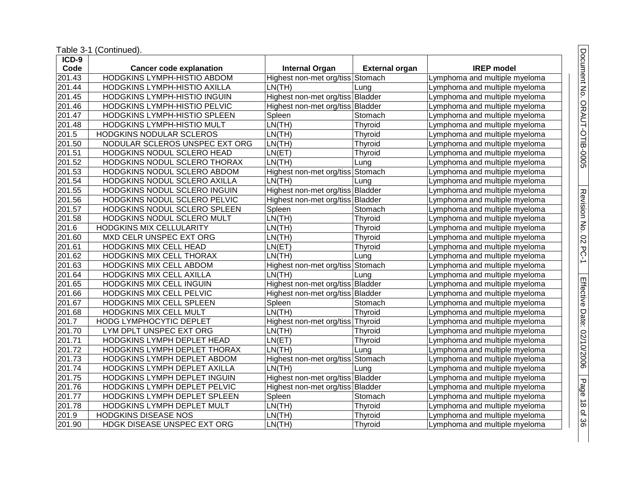|                     | Table 3-1 (Continued).          |                                  |                       |                               |
|---------------------|---------------------------------|----------------------------------|-----------------------|-------------------------------|
| $ICD-9$             |                                 |                                  |                       |                               |
| Code                | <b>Cancer code explanation</b>  | <b>Internal Organ</b>            | <b>External organ</b> | <b>IREP</b> model             |
| 201.43              | HODGKINS LYMPH-HISTIO ABDOM     | Highest non-met org/tiss Stomach |                       | Lymphoma and multiple myeloma |
| 201.44              | HODGKINS LYMPH-HISTIO AXILLA    | LN(TH)                           | Lung                  | Lymphoma and multiple myeloma |
| 201.45              | HODGKINS LYMPH-HISTIO INGUIN    | Highest non-met org/tiss Bladder |                       | Lymphoma and multiple myeloma |
| 201.46              | HODGKINS LYMPH-HISTIO PELVIC    | Highest non-met org/tiss Bladder |                       | Lymphoma and multiple myeloma |
| 201.47              | HODGKINS LYMPH-HISTIO SPLEEN    | Spleen                           | Stomach               | Lymphoma and multiple myeloma |
| 201.48              | HODGKINS LYMPH-HISTIO MULT      | LN(TH)                           | Thyroid               | Lymphoma and multiple myeloma |
| 201.5               | HODGKINS NODULAR SCLEROS        | LN(TH)                           | Thyroid               | Lymphoma and multiple myeloma |
| 201.50              | NODULAR SCLEROS UNSPEC EXT ORG  | LN(TH)                           | Thyroid               | Lymphoma and multiple myeloma |
| 201.51              | HODGKINS NODUL SCLERO HEAD      | LN(ET)                           | Thyroid               | Lymphoma and multiple myeloma |
| 201.52              | HODGKINS NODUL SCLERO THORAX    | LN(TH)                           | Lung                  | Lymphoma and multiple myeloma |
| 201.53              | HODGKINS NODUL SCLERO ABDOM     | Highest non-met org/tiss Stomach |                       | Lymphoma and multiple myeloma |
| 201.54              | HODGKINS NODUL SCLERO AXILLA    | LN(TH)                           | Lung                  | Lymphoma and multiple myeloma |
| $\overline{201.55}$ | HODGKINS NODUL SCLERO INGUIN    | Highest non-met org/tiss Bladder |                       | Lymphoma and multiple myeloma |
| 201.56              | HODGKINS NODUL SCLERO PELVIC    | Highest non-met org/tiss Bladder |                       | Lymphoma and multiple myeloma |
| 201.57              | HODGKINS NODUL SCLERO SPLEEN    | Spleen                           | Stomach               | Lymphoma and multiple myeloma |
| 201.58              | HODGKINS NODUL SCLERO MULT      | LN(TH)                           | Thyroid               | Lymphoma and multiple myeloma |
| 201.6               | <b>HODGKINS MIX CELLULARITY</b> | LN(TH)                           | Thyroid               | Lymphoma and multiple myeloma |
| 201.60              | MXD CELR UNSPEC EXT ORG         | LN(TH)                           | Thyroid               | Lymphoma and multiple myeloma |
| 201.61              | HODGKINS MIX CELL HEAD          | LN(ET)                           | Thyroid               | Lymphoma and multiple myeloma |
| 201.62              | HODGKINS MIX CELL THORAX        | LN(TH)                           | Lung                  | Lymphoma and multiple myeloma |
| 201.63              | HODGKINS MIX CELL ABDOM         | Highest non-met org/tiss Stomach |                       | Lymphoma and multiple myeloma |
| 201.64              | <b>HODGKINS MIX CELL AXILLA</b> | LN(TH)                           | Lung                  | Lymphoma and multiple myeloma |
| 201.65              | <b>HODGKINS MIX CELL INGUIN</b> | Highest non-met org/tiss Bladder |                       | Lymphoma and multiple myeloma |
| 201.66              | <b>HODGKINS MIX CELL PELVIC</b> | Highest non-met org/tiss Bladder |                       | Lymphoma and multiple myeloma |
| 201.67              | HODGKINS MIX CELL SPLEEN        | Spleen                           | Stomach               | Lymphoma and multiple myeloma |
| 201.68              | HODGKINS MIX CELL MULT          | LN(TH)                           | Thyroid               | Lymphoma and multiple myeloma |
| 201.7               | <b>HODG LYMPHOCYTIC DEPLET</b>  | Highest non-met org/tiss Thyroid |                       | Lymphoma and multiple myeloma |
| 201.70              | LYM DPLT UNSPEC EXT ORG         | LN(TH)                           | <b>Thyroid</b>        | Lymphoma and multiple myeloma |
| 201.71              | HODGKINS LYMPH DEPLET HEAD      | LN(ET)                           | Thyroid               | Lymphoma and multiple myeloma |
| 201.72              | HODGKINS LYMPH DEPLET THORAX    | LN(TH)                           | Lung                  | Lymphoma and multiple myeloma |
| 201.73              | HODGKINS LYMPH DEPLET ABDOM     | Highest non-met org/tiss Stomach |                       | Lymphoma and multiple myeloma |
| 201.74              | HODGKINS LYMPH DEPLET AXILLA    | LN(TH)                           | Lung                  | Lymphoma and multiple myeloma |
| 201.75              | HODGKINS LYMPH DEPLET INGUIN    | Highest non-met org/tiss Bladder |                       | Lymphoma and multiple myeloma |
| 201.76              | HODGKINS LYMPH DEPLET PELVIC    | Highest non-met org/tiss Bladder |                       | Lymphoma and multiple myeloma |
| 201.77              | HODGKINS LYMPH DEPLET SPLEEN    | Spleen                           | Stomach               | Lymphoma and multiple myeloma |
| 201.78              | HODGKINS LYMPH DEPLET MULT      | LN(TH)                           | Thyroid               | Lymphoma and multiple myeloma |
| 201.9               | <b>HODGKINS DISEASE NOS</b>     | LN(TH)                           | Thyroid               | Lymphoma and multiple myeloma |
| 201.90              | HDGK DISEASE UNSPEC EXT ORG     | LN(TH)                           | Thyroid               | Lymphoma and multiple myeloma |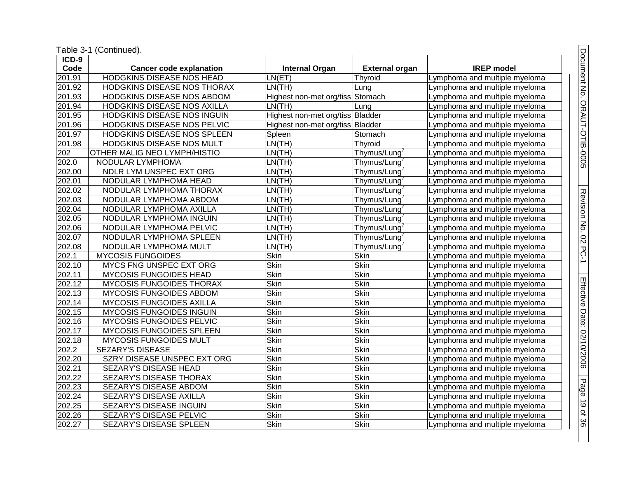| ICD-9  |                                     |                                  |                       |                               |
|--------|-------------------------------------|----------------------------------|-----------------------|-------------------------------|
| Code   | <b>Cancer code explanation</b>      | <b>Internal Organ</b>            | <b>External organ</b> | <b>IREP</b> model             |
| 201.91 | <b>HODGKINS DISEASE NOS HEAD</b>    | LN(ET)                           | Thyroid               | Lymphoma and multiple myeloma |
| 201.92 | <b>HODGKINS DISEASE NOS THORAX</b>  | LN(TH)                           | Lung                  | Lymphoma and multiple myeloma |
| 201.93 | HODGKINS DISEASE NOS ABDOM          | Highest non-met org/tiss Stomach |                       | Lymphoma and multiple myeloma |
| 201.94 | HODGKINS DISEASE NOS AXILLA         | LN(TH)                           | Lung                  | Lymphoma and multiple myeloma |
| 201.95 | HODGKINS DISEASE NOS INGUIN         | Highest non-met org/tiss Bladder |                       | Lymphoma and multiple myeloma |
| 201.96 | HODGKINS DISEASE NOS PELVIC         | Highest non-met org/tiss Bladder |                       | Lymphoma and multiple myeloma |
| 201.97 | HODGKINS DISEASE NOS SPLEEN         | Spleen                           | Stomach               | Lymphoma and multiple myeloma |
| 201.98 | HODGKINS DISEASE NOS MULT           | LN(TH)                           | Thyroid               | Lymphoma and multiple myeloma |
| 202    | <b>OTHER MALIG NEO LYMPH/HISTIO</b> | LN(TH)                           | Thymus/Lung           | Lymphoma and multiple myeloma |
| 202.0  | NODULAR LYMPHOMA                    | LN(TH)                           | Thymus/Lung           | Lymphoma and multiple myeloma |
| 202.00 | NDLR LYM UNSPEC EXT ORG             | LN(TH)                           | Thymus/Lung           | Lymphoma and multiple myeloma |
| 202.01 | NODULAR LYMPHOMA HEAD               | LN(TH)                           | Thymus/Lung           | Lymphoma and multiple myeloma |
| 202.02 | NODULAR LYMPHOMA THORAX             | LN(TH)                           | Thymus/Lung           | Lymphoma and multiple myeloma |
| 202.03 | NODULAR LYMPHOMA ABDOM              | LN(TH)                           | Thymus/Lung           | Lymphoma and multiple myeloma |
| 202.04 | NODULAR LYMPHOMA AXILLA             | LN(TH)                           | Thymus/Lung           | Lymphoma and multiple myeloma |
| 202.05 | NODULAR LYMPHOMA INGUIN             | LN(TH)                           | Thymus/Lung           | Lymphoma and multiple myeloma |
| 202.06 | NODULAR LYMPHOMA PELVIC             | LN(TH)                           | Thymus/Lung           | Lymphoma and multiple myeloma |
| 202.07 | NODULAR LYMPHOMA SPLEEN             | LN(TH)                           | Thymus/Lung           | Lymphoma and multiple myeloma |
| 202.08 | NODULAR LYMPHOMA MULT               | LN(TH)                           | Thymus/Lung           | Lymphoma and multiple myeloma |
| 202.1  | <b>MYCOSIS FUNGOIDES</b>            | <b>Skin</b>                      | <b>Skin</b>           | Lymphoma and multiple myeloma |
| 202.10 | MYCS FNG UNSPEC EXT ORG             | <b>Skin</b>                      | Skin                  | Lymphoma and multiple myeloma |
| 202.11 | <b>MYCOSIS FUNGOIDES HEAD</b>       | <b>Skin</b>                      | Skin                  | Lymphoma and multiple myeloma |
| 202.12 | MYCOSIS FUNGOIDES THORAX            | <b>Skin</b>                      | Skin                  | Lymphoma and multiple myeloma |
| 202.13 | <b>MYCOSIS FUNGOIDES ABDOM</b>      | <b>Skin</b>                      | <b>Skin</b>           | Lymphoma and multiple myeloma |
| 202.14 | <b>MYCOSIS FUNGOIDES AXILLA</b>     | <b>Skin</b>                      | Skin                  | Lymphoma and multiple myeloma |
| 202.15 | <b>MYCOSIS FUNGOIDES INGUIN</b>     | <b>Skin</b>                      | <b>Skin</b>           | Lymphoma and multiple myeloma |
| 202.16 | MYCOSIS FUNGOIDES PELVIC            | <b>Skin</b>                      | Skin                  | Lymphoma and multiple myeloma |
| 202.17 | MYCOSIS FUNGOIDES SPLEEN            | <b>Skin</b>                      | Skin                  | Lymphoma and multiple myeloma |
| 202.18 | MYCOSIS FUNGOIDES MULT              | <b>Skin</b>                      | <b>Skin</b>           | Lymphoma and multiple myeloma |
| 202.2  | <b>SEZARY'S DISEASE</b>             | <b>Skin</b>                      | <b>Skin</b>           | Lymphoma and multiple myeloma |
| 202.20 | <b>SZRY DISEASE UNSPEC EXT ORG</b>  | <b>Skin</b>                      | <b>Skin</b>           | Lymphoma and multiple myeloma |
| 202.21 | <b>SEZARY'S DISEASE HEAD</b>        | <b>Skin</b>                      | <b>Skin</b>           | Lymphoma and multiple myeloma |
| 202.22 | SEZARY'S DISEASE THORAX             | Skin                             | Skin                  | Lymphoma and multiple myeloma |
| 202.23 | SEZARY'S DISEASE ABDOM              | <b>Skin</b>                      | Skin                  | Lymphoma and multiple myeloma |
| 202.24 | SEZARY'S DISEASE AXILLA             | <b>Skin</b>                      | Skin                  | _ymphoma and multiple myeloma |
| 202.25 | SEZARY'S DISEASE INGUIN             | <b>Skin</b>                      | Skin                  | Lymphoma and multiple myeloma |
| 202.26 | <b>SEZARY'S DISEASE PELVIC</b>      | <b>Skin</b>                      | <b>Skin</b>           | Lymphoma and multiple myeloma |
| 202.27 | SEZARY'S DISEASE SPLEEN             | <b>Skin</b>                      | <b>Skin</b>           | Lymphoma and multiple myeloma |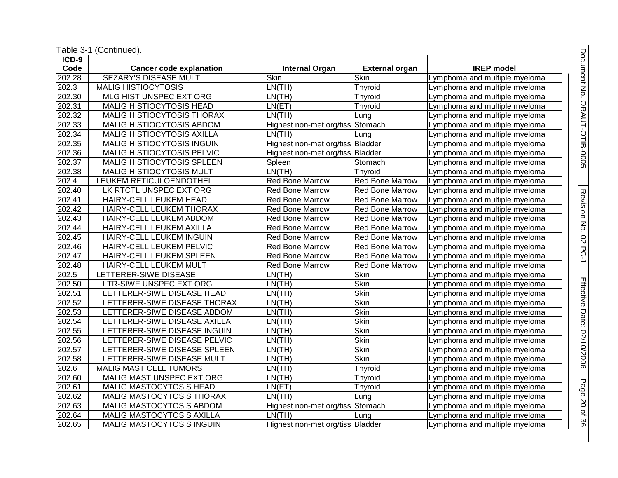| ICD-9               |                                   |                                  |                        |                               |
|---------------------|-----------------------------------|----------------------------------|------------------------|-------------------------------|
| Code                | <b>Cancer code explanation</b>    | <b>Internal Organ</b>            | <b>External organ</b>  | <b>IREP</b> model             |
| 202.28              | <b>SEZARY'S DISEASE MULT</b>      | Skin                             | Skin                   | Lymphoma and multiple myeloma |
| 202.3               | <b>MALIG HISTIOCYTOSIS</b>        | LN(TH)                           | Thyroid                | Lymphoma and multiple myeloma |
| 202.30              | MLG HIST UNSPEC EXT ORG           | LN(TH)                           | Thyroid                | Lymphoma and multiple myeloma |
| 202.31              | MALIG HISTIOCYTOSIS HEAD          | LN(ET)                           | <b>Thyroid</b>         | Lymphoma and multiple myeloma |
| 202.32              | MALIG HISTIOCYTOSIS THORAX        | LN(TH)                           | Lung                   | Lymphoma and multiple myeloma |
| 202.33              | MALIG HISTIOCYTOSIS ABDOM         | Highest non-met org/tiss         | Stomach                | Lymphoma and multiple myeloma |
| 202.34              | MALIG HISTIOCYTOSIS AXILLA        | LN(TH)                           | Lung                   | Lymphoma and multiple myeloma |
| 202.35              | MALIG HISTIOCYTOSIS INGUIN        | Highest non-met org/tiss Bladder |                        | Lymphoma and multiple myeloma |
| 202.36              | <b>MALIG HISTIOCYTOSIS PELVIC</b> | Highest non-met org/tiss Bladder |                        | Lymphoma and multiple myeloma |
| 202.37              | MALIG HISTIOCYTOSIS SPLEEN        | Spleen                           | Stomach                | Lymphoma and multiple myeloma |
| 202.38              | MALIG HISTIOCYTOSIS MULT          | LN(TH)                           | Thyroid                | Lymphoma and multiple myeloma |
| 202.4               | LEUKEM RETICULOENDOTHEL           | <b>Red Bone Marrow</b>           | <b>Red Bone Marrow</b> | Lymphoma and multiple myeloma |
| 202.40              | LK RTCTL UNSPEC EXT ORG           | <b>Red Bone Marrow</b>           | <b>Red Bone Marrow</b> | Lymphoma and multiple myeloma |
| 202.41              | HAIRY-CELL LEUKEM HEAD            | <b>Red Bone Marrow</b>           | <b>Red Bone Marrow</b> | Lymphoma and multiple myeloma |
| 202.42              | HAIRY-CELL LEUKEM THORAX          | <b>Red Bone Marrow</b>           | Red Bone Marrow        | Lymphoma and multiple myeloma |
| $\overline{202.43}$ | HAIRY-CELL LEUKEM ABDOM           | <b>Red Bone Marrow</b>           | <b>Red Bone Marrow</b> | Lymphoma and multiple myeloma |
| 202.44              | HAIRY-CELL LEUKEM AXILLA          | <b>Red Bone Marrow</b>           | <b>Red Bone Marrow</b> | Lymphoma and multiple myeloma |
| 202.45              | HAIRY-CELL LEUKEM INGUIN          | <b>Red Bone Marrow</b>           | Red Bone Marrow        | Lymphoma and multiple myeloma |
| 202.46              | HAIRY-CELL LEUKEM PELVIC          | <b>Red Bone Marrow</b>           | Red Bone Marrow        | Lymphoma and multiple myeloma |
| 202.47              | HAIRY-CELL LEUKEM SPLEEN          | Red Bone Marrow                  | <b>Red Bone Marrow</b> | Lymphoma and multiple myeloma |
| 202.48              | HAIRY-CELL LEUKEM MULT            | <b>Red Bone Marrow</b>           | <b>Red Bone Marrow</b> | Lymphoma and multiple myeloma |
| 202.5               | LETTERER-SIWE DISEASE             | LN(TH)                           | Skin                   | Lymphoma and multiple myeloma |
| 202.50              | LTR-SIWE UNSPEC EXT ORG           | LN(TH)                           | <b>Skin</b>            | Lymphoma and multiple myeloma |
| 202.51              | LETTERER-SIWE DISEASE HEAD        | LN(TH)                           | <b>Skin</b>            | Lymphoma and multiple myeloma |
| 202.52              | LETTERER-SIWE DISEASE THORAX      | LN(TH)                           | <b>Skin</b>            | Lymphoma and multiple myeloma |
| 202.53              | LETTERER-SIWE DISEASE ABDOM       | LN(TH)                           | Skin                   | Lymphoma and multiple myeloma |
| 202.54              | LETTERER-SIWE DISEASE AXILLA      | LN(TH)                           | <b>Skin</b>            | Lymphoma and multiple myeloma |
| 202.55              | LETTERER-SIWE DISEASE INGUIN      | LN(TH)                           | <b>Skin</b>            | Lymphoma and multiple myeloma |
| 202.56              | LETTERER-SIWE DISEASE PELVIC      | LN(TH)                           | <b>Skin</b>            | Lymphoma and multiple myeloma |
| 202.57              | LETTERER-SIWE DISEASE SPLEEN      | LN(TH)                           | <b>Skin</b>            | Lymphoma and multiple myeloma |
| 202.58              | LETTERER-SIWE DISEASE MULT        | LN(TH)                           | <b>Skin</b>            | Lymphoma and multiple myeloma |
| 202.6               | <b>MALIG MAST CELL TUMORS</b>     | LN(TH)                           | Thyroid                | Lymphoma and multiple myeloma |
| 202.60              | MALIG MAST UNSPEC EXT ORG         | LN(TH)                           | Thyroid                | Lymphoma and multiple myeloma |
| 202.61              | <b>MALIG MASTOCYTOSIS HEAD</b>    | LN(ET)                           | Thyroid                | Lymphoma and multiple myeloma |
| 202.62              | MALIG MASTOCYTOSIS THORAX         | LN(TH)                           | Lung                   | Lymphoma and multiple myeloma |
| 202.63              | MALIG MASTOCYTOSIS ABDOM          | Highest non-met org/tiss Stomach |                        | Lymphoma and multiple myeloma |
| 202.64              | MALIG MASTOCYTOSIS AXILLA         | LN(TH)                           | Lung                   | Lymphoma and multiple myeloma |
| 202.65              | MALIG MASTOCYTOSIS INGUIN         | Highest non-met org/tiss Bladder |                        | Lymphoma and multiple myeloma |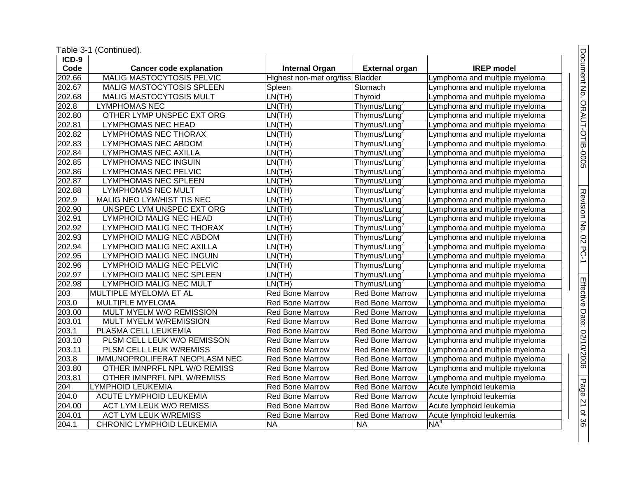| $ICD-9$             |                                  |                                  |                        |                               |
|---------------------|----------------------------------|----------------------------------|------------------------|-------------------------------|
| Code                | <b>Cancer code explanation</b>   | <b>Internal Organ</b>            | <b>External organ</b>  | <b>IREP</b> model             |
| 202.66              | <b>MALIG MASTOCYTOSIS PELVIC</b> | Highest non-met org/tiss Bladder |                        | Lymphoma and multiple myeloma |
| 202.67              | MALIG MASTOCYTOSIS SPLEEN        | Spleen                           | Stomach                | Lymphoma and multiple myeloma |
| $\overline{202.68}$ | <b>MALIG MASTOCYTOSIS MULT</b>   | LN(TH)                           | Thyroid                | Lymphoma and multiple myeloma |
| 202.8               | <b>LYMPHOMAS NEC</b>             | LN(TH)                           | Thymus/Lung            | Lymphoma and multiple myeloma |
| 202.80              | OTHER LYMP UNSPEC EXT ORG        | LN(TH)                           | Thymus/Lung            | Lymphoma and multiple myeloma |
| 202.81              | <b>LYMPHOMAS NEC HEAD</b>        | LN(TH)                           | Thymus/Lung            | Lymphoma and multiple myeloma |
| 202.82              | <b>LYMPHOMAS NEC THORAX</b>      | LN(TH)                           | Thymus/Lung            | Lymphoma and multiple myeloma |
| 202.83              | LYMPHOMAS NEC ABDOM              | LN(TH)                           | Thymus/Lung            | Lymphoma and multiple myeloma |
| 202.84              | <b>LYMPHOMAS NEC AXILLA</b>      | LN(TH)                           | Thymus/Lung            | Lymphoma and multiple myeloma |
| 202.85              | <b>LYMPHOMAS NEC INGUIN</b>      | LN(TH)                           | Thymus/Lung            | Lymphoma and multiple myeloma |
| 202.86              | <b>LYMPHOMAS NEC PELVIC</b>      | LN(TH)                           | Thymus/Lung            | Lymphoma and multiple myeloma |
| 202.87              | <b>LYMPHOMAS NEC SPLEEN</b>      | LN(TH)                           | Thymus/Lung            | Lymphoma and multiple myeloma |
| 202.88              | <b>LYMPHOMAS NEC MULT</b>        | LN(TH)                           | Thymus/Lung            | Lymphoma and multiple myeloma |
| 202.9               | MALIG NEO LYM/HIST TIS NEC       | LN(TH)                           | Thymus/Lung            | Lymphoma and multiple myeloma |
| 202.90              | UNSPEC LYM UNSPEC EXT ORG        | LN(TH)                           | Thymus/Lung            | Lymphoma and multiple myeloma |
| 202.91              | <b>LYMPHOID MALIG NEC HEAD</b>   | LN(TH)                           | Thymus/Lung            | Lymphoma and multiple myeloma |
| 202.92              | <b>LYMPHOID MALIG NEC THORAX</b> | LN(TH)                           | Thymus/Lung            | Lymphoma and multiple myeloma |
| 202.93              | <b>LYMPHOID MALIG NEC ABDOM</b>  | LN(TH)                           | Thymus/Lung            | Lymphoma and multiple myeloma |
| 202.94              | <b>LYMPHOID MALIG NEC AXILLA</b> | LN(TH)                           | Thymus/Lung            | Lymphoma and multiple myeloma |
| 202.95              | <b>LYMPHOID MALIG NEC INGUIN</b> | LN(TH)                           | Thymus/Lung            | Lymphoma and multiple myeloma |
| 202.96              | LYMPHOID MALIG NEC PELVIC        | LN(TH)                           | Thymus/Lung            | Lymphoma and multiple myeloma |
| 202.97              | <b>LYMPHOID MALIG NEC SPLEEN</b> | LN(TH)                           | Thymus/Lung            | Lymphoma and multiple myeloma |
| 202.98              | <b>LYMPHOID MALIG NEC MULT</b>   | LN(TH)                           | Thymus/Lung            | Lymphoma and multiple myeloma |
| 203                 | MULTIPLE MYELOMA ET AL           | <b>Red Bone Marrow</b>           | Red Bone Marrow        | Lymphoma and multiple myeloma |
| 203.0               | MULTIPLE MYELOMA                 | <b>Red Bone Marrow</b>           | <b>Red Bone Marrow</b> | Lymphoma and multiple myeloma |
| 203.00              | MULT MYELM W/O REMISSION         | <b>Red Bone Marrow</b>           | Red Bone Marrow        | Lymphoma and multiple myeloma |
| 203.01              | MULT MYELM W/REMISSION           | <b>Red Bone Marrow</b>           | Red Bone Marrow        | Lymphoma and multiple myeloma |
| 203.1               | PLASMA CELL LEUKEMIA             | <b>Red Bone Marrow</b>           | Red Bone Marrow        | Lymphoma and multiple myeloma |
| 203.10              | PLSM CELL LEUK W/O REMISSON      | <b>Red Bone Marrow</b>           | <b>Red Bone Marrow</b> | Lymphoma and multiple myeloma |
| 203.11              | PLSM CELL LEUK W/REMISS          | <b>Red Bone Marrow</b>           | <b>Red Bone Marrow</b> | Lymphoma and multiple myeloma |
| 203.8               | IMMUNOPROLIFERAT NEOPLASM NEC    | <b>Red Bone Marrow</b>           | <b>Red Bone Marrow</b> | Lymphoma and multiple myeloma |
| 203.80              | OTHER IMNPRFL NPL W/O REMISS     | <b>Red Bone Marrow</b>           | Red Bone Marrow        | Lymphoma and multiple myeloma |
| 203.81              | OTHER IMNPRFL NPL W/REMISS       | <b>Red Bone Marrow</b>           | <b>Red Bone Marrow</b> | Lymphoma and multiple myeloma |
| 204                 | <b>LYMPHOID LEUKEMIA</b>         | <b>Red Bone Marrow</b>           | Red Bone Marrow        | Acute lymphoid leukemia       |
| 204.0               | ACUTE LYMPHOID LEUKEMIA          | <b>Red Bone Marrow</b>           | <b>Red Bone Marrow</b> | Acute lymphoid leukemia       |
| 204.00              | ACT LYM LEUK W/O REMISS          | <b>Red Bone Marrow</b>           | <b>Red Bone Marrow</b> | Acute lymphoid leukemia       |
| $\overline{2}04.01$ | <b>ACT LYM LEUK W/REMISS</b>     | <b>Red Bone Marrow</b>           | <b>Red Bone Marrow</b> | Acute lymphoid leukemia       |
| 204.1               | <b>CHRONIC LYMPHOID LEUKEMIA</b> | <b>NA</b>                        | <b>NA</b>              | NA <sup>4</sup>               |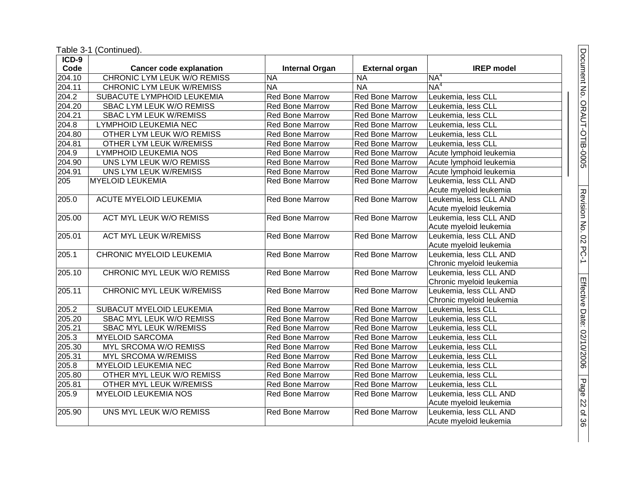| $ICD-9$ |                                    |                        |                        |                          |
|---------|------------------------------------|------------------------|------------------------|--------------------------|
| Code    | <b>Cancer code explanation</b>     | <b>Internal Organ</b>  | <b>External organ</b>  | <b>IREP</b> model        |
| 204.10  | <b>CHRONIC LYM LEUK W/O REMISS</b> | <b>NA</b>              | <b>NA</b>              | NA <sup>4</sup>          |
| 204.11  | <b>CHRONIC LYM LEUK W/REMISS</b>   | <b>NA</b>              | <b>NA</b>              | NA <sup>4</sup>          |
| 204.2   | SUBACUTE LYMPHOID LEUKEMIA         | <b>Red Bone Marrow</b> | Red Bone Marrow        | Leukemia, less CLL       |
| 204.20  | SBAC LYM LEUK W/O REMISS           | <b>Red Bone Marrow</b> | Red Bone Marrow        | Leukemia, less CLL       |
| 204.21  | <b>SBAC LYM LEUK W/REMISS</b>      | <b>Red Bone Marrow</b> | Red Bone Marrow        | Leukemia, less CLL       |
| 204.8   | LYMPHOID LEUKEMIA NEC              | <b>Red Bone Marrow</b> | <b>Red Bone Marrow</b> | Leukemia, less CLL       |
| 204.80  | OTHER LYM LEUK W/O REMISS          | <b>Red Bone Marrow</b> | Red Bone Marrow        | Leukemia, less CLL       |
| 204.81  | <b>OTHER LYM LEUK W/REMISS</b>     | Red Bone Marrow        | Red Bone Marrow        | Leukemia, less CLL       |
| 204.9   | LYMPHOID LEUKEMIA NOS              | Red Bone Marrow        | Red Bone Marrow        | Acute lymphoid leukemia  |
| 204.90  | UNS LYM LEUK W/O REMISS            | Red Bone Marrow        | <b>Red Bone Marrow</b> | Acute lymphoid leukemia  |
| 204.91  | UNS LYM LEUK W/REMISS              | <b>Red Bone Marrow</b> | <b>Red Bone Marrow</b> | Acute lymphoid leukemia  |
| 205     | <b>MYELOID LEUKEMIA</b>            | <b>Red Bone Marrow</b> | Red Bone Marrow        | Leukemia, less CLL AND   |
|         |                                    |                        |                        | Acute myeloid leukemia   |
| 205.0   | <b>ACUTE MYELOID LEUKEMIA</b>      | <b>Red Bone Marrow</b> | <b>Red Bone Marrow</b> | Leukemia, less CLL AND   |
|         |                                    |                        |                        | Acute myeloid leukemia   |
| 205.00  | <b>ACT MYL LEUK W/O REMISS</b>     | <b>Red Bone Marrow</b> | <b>Red Bone Marrow</b> | Leukemia, less CLL AND   |
|         |                                    |                        |                        | Acute myeloid leukemia   |
| 205.01  | <b>ACT MYL LEUK W/REMISS</b>       | <b>Red Bone Marrow</b> | <b>Red Bone Marrow</b> | Leukemia, less CLL AND   |
|         |                                    |                        |                        | Acute myeloid leukemia   |
| 205.1   | CHRONIC MYELOID LEUKEMIA           | <b>Red Bone Marrow</b> | <b>Red Bone Marrow</b> | Leukemia, less CLL AND   |
|         |                                    |                        |                        | Chronic myeloid leukemia |
| 205.10  | CHRONIC MYL LEUK W/O REMISS        | Red Bone Marrow        | <b>Red Bone Marrow</b> | Leukemia, less CLL AND   |
|         |                                    |                        |                        | Chronic myeloid leukemia |
| 205.11  | <b>CHRONIC MYL LEUK W/REMISS</b>   | Red Bone Marrow        | <b>Red Bone Marrow</b> | Leukemia, less CLL AND   |
|         |                                    |                        |                        | Chronic myeloid leukemia |
| 205.2   | SUBACUT MYELOID LEUKEMIA           | <b>Red Bone Marrow</b> | Red Bone Marrow        | Leukemia, less CLL       |
| 205.20  | SBAC MYL LEUK W/O REMISS           | <b>Red Bone Marrow</b> | Red Bone Marrow        | Leukemia, less CLL       |
| 205.21  | SBAC MYL LEUK W/REMISS             | <b>Red Bone Marrow</b> | Red Bone Marrow        | Leukemia, less CLL       |
| 205.3   | <b>MYELOID SARCOMA</b>             | Red Bone Marrow        | Red Bone Marrow        | Leukemia, less CLL       |
| 205.30  | MYL SRCOMA W/O REMISS              | Red Bone Marrow        | Red Bone Marrow        | Leukemia, less CLL       |
| 205.31  | <b>MYL SRCOMA W/REMISS</b>         | Red Bone Marrow        | Red Bone Marrow        | Leukemia, less CLL       |
| 205.8   | <b>MYELOID LEUKEMIA NEC</b>        | <b>Red Bone Marrow</b> | Red Bone Marrow        | Leukemia, less CLL       |
| 205.80  | OTHER MYL LEUK W/O REMISS          | <b>Red Bone Marrow</b> | Red Bone Marrow        | Leukemia, less CLL       |
| 205.81  | OTHER MYL LEUK W/REMISS            | <b>Red Bone Marrow</b> | <b>Red Bone Marrow</b> | Leukemia, less CLL       |
| 205.9   | <b>MYELOID LEUKEMIA NOS</b>        | <b>Red Bone Marrow</b> | Red Bone Marrow        | Leukemia, less CLL AND   |
|         |                                    |                        |                        | Acute myeloid leukemia   |
| 205.90  | UNS MYL LEUK W/O REMISS            | <b>Red Bone Marrow</b> | <b>Red Bone Marrow</b> | Leukemia, less CLL AND   |
|         |                                    |                        |                        | Acute myeloid leukemia   |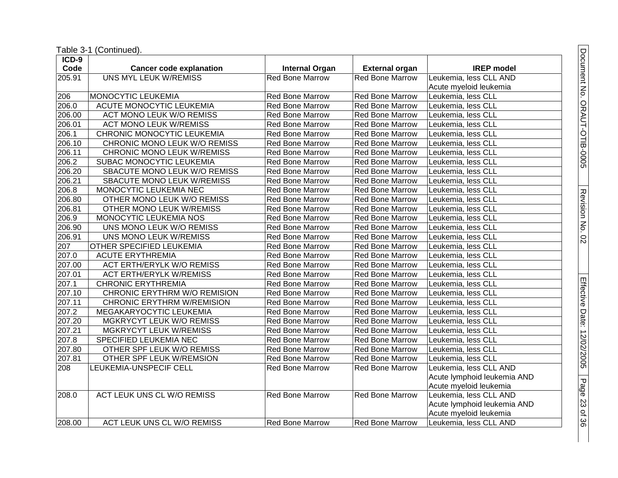| ICD-9  |                                   |                        |                        |                             |
|--------|-----------------------------------|------------------------|------------------------|-----------------------------|
| Code   | <b>Cancer code explanation</b>    | <b>Internal Organ</b>  | <b>External organ</b>  | <b>IREP</b> model           |
| 205.91 | <b>UNS MYL LEUK W/REMISS</b>      | <b>Red Bone Marrow</b> | <b>Red Bone Marrow</b> | Leukemia, less CLL AND      |
|        |                                   |                        |                        | Acute myeloid leukemia      |
| 206    | MONOCYTIC LEUKEMIA                | Red Bone Marrow        | Red Bone Marrow        | Leukemia, less CLL          |
| 206.0  | ACUTE MONOCYTIC LEUKEMIA          | <b>Red Bone Marrow</b> | <b>Red Bone Marrow</b> | Leukemia, less CLL          |
| 206.00 | <b>ACT MONO LEUK W/O REMISS</b>   | <b>Red Bone Marrow</b> | Red Bone Marrow        | Leukemia, less CLL          |
| 206.01 | <b>ACT MONO LEUK W/REMISS</b>     | <b>Red Bone Marrow</b> | <b>Red Bone Marrow</b> | Leukemia, less CLL          |
| 206.1  | CHRONIC MONOCYTIC LEUKEMIA        | <b>Red Bone Marrow</b> | Red Bone Marrow        | Leukemia, less CLL          |
| 206.10 | CHRONIC MONO LEUK W/O REMISS      | Red Bone Marrow        | Red Bone Marrow        | Leukemia, less CLL          |
| 206.11 | CHRONIC MONO LEUK W/REMISS        | Red Bone Marrow        | Red Bone Marrow        | Leukemia, less CLL          |
| 206.2  | SUBAC MONOCYTIC LEUKEMIA          | <b>Red Bone Marrow</b> | Red Bone Marrow        | Leukemia, less CLL          |
| 206.20 | SBACUTE MONO LEUK W/O REMISS      | <b>Red Bone Marrow</b> | <b>Red Bone Marrow</b> | Leukemia, less CLL          |
| 206.21 | SBACUTE MONO LEUK W/REMISS        | <b>Red Bone Marrow</b> | <b>Red Bone Marrow</b> | Leukemia, less CLL          |
| 206.8  | MONOCYTIC LEUKEMIA NEC            | <b>Red Bone Marrow</b> | <b>Red Bone Marrow</b> | Leukemia, less CLL          |
| 206.80 | OTHER MONO LEUK W/O REMISS        | <b>Red Bone Marrow</b> | Red Bone Marrow        | Leukemia, less CLL          |
| 206.81 | OTHER MONO LEUK W/REMISS          | Red Bone Marrow        | Red Bone Marrow        | Leukemia, less CLL          |
| 206.9  | MONOCYTIC LEUKEMIA NOS            | <b>Red Bone Marrow</b> | Red Bone Marrow        | Leukemia, less CLL          |
| 206.90 | UNS MONO LEUK W/O REMISS          | <b>Red Bone Marrow</b> | Red Bone Marrow        | Leukemia, less CLL          |
| 206.91 | UNS MONO LEUK W/REMISS            | <b>Red Bone Marrow</b> | Red Bone Marrow        | Leukemia, less CLL          |
| 207    | OTHER SPECIFIED LEUKEMIA          | <b>Red Bone Marrow</b> | Red Bone Marrow        | Leukemia, less CLL          |
| 207.0  | <b>ACUTE ERYTHREMIA</b>           | <b>Red Bone Marrow</b> | <b>Red Bone Marrow</b> | Leukemia, less CLL          |
| 207.00 | <b>ACT ERTH/ERYLK W/O REMISS</b>  | <b>Red Bone Marrow</b> | <b>Red Bone Marrow</b> | Leukemia, less CLL          |
| 207.01 | <b>ACT ERTH/ERYLK W/REMISS</b>    | Red Bone Marrow        | Red Bone Marrow        | Leukemia, less CLL          |
| 207.1  | <b>CHRONIC ERYTHREMIA</b>         | Red Bone Marrow        | <b>Red Bone Marrow</b> | Leukemia, less CLL          |
| 207.10 | CHRONIC ERYTHRM W/O REMISION      | <b>Red Bone Marrow</b> | <b>Red Bone Marrow</b> | Leukemia, less CLL          |
| 207.11 | <b>CHRONIC ERYTHRM W/REMISION</b> | <b>Red Bone Marrow</b> | Red Bone Marrow        | Leukemia, less CLL          |
| 207.2  | MEGAKARYOCYTIC LEUKEMIA           | <b>Red Bone Marrow</b> | <b>Red Bone Marrow</b> | Leukemia, less CLL          |
| 207.20 | MGKRYCYT LEUK W/O REMISS          | <b>Red Bone Marrow</b> | Red Bone Marrow        | Leukemia, less CLL          |
| 207.21 | <b>MGKRYCYT LEUK W/REMISS</b>     | <b>Red Bone Marrow</b> | Red Bone Marrow        | Leukemia, less CLL          |
| 207.8  | SPECIFIED LEUKEMIA NEC            | Red Bone Marrow        | Red Bone Marrow        | Leukemia, less CLL          |
| 207.80 | OTHER SPF LEUK W/O REMISS         | <b>Red Bone Marrow</b> | <b>Red Bone Marrow</b> | Leukemia, less CLL          |
| 207.81 | OTHER SPF LEUK W/REMSION          | <b>Red Bone Marrow</b> | Red Bone Marrow        | Leukemia, less CLL          |
| 208    | LEUKEMIA-UNSPECIF CELL            | <b>Red Bone Marrow</b> | <b>Red Bone Marrow</b> | Leukemia, less CLL AND      |
|        |                                   |                        |                        | Acute lymphoid leukemia AND |
|        |                                   |                        |                        | Acute myeloid leukemia      |
| 208.0  | <b>ACT LEUK UNS CL W/O REMISS</b> | <b>Red Bone Marrow</b> | <b>Red Bone Marrow</b> | Leukemia, less CLL AND      |
|        |                                   |                        |                        | Acute lymphoid leukemia AND |
|        |                                   |                        |                        | Acute myeloid leukemia      |
| 208.00 | ACT LEUK UNS CL W/O REMISS        | <b>Red Bone Marrow</b> | <b>Red Bone Marrow</b> | Leukemia, less CLL AND      |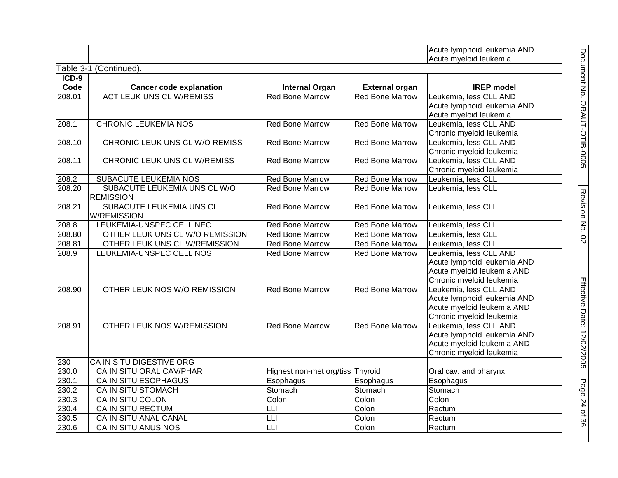|         |                                                  |                                             |                        | Acute lymphoid leukemia AND<br>Acute myeloid leukemia                                                           |
|---------|--------------------------------------------------|---------------------------------------------|------------------------|-----------------------------------------------------------------------------------------------------------------|
|         | Table 3-1 (Continued).                           |                                             |                        |                                                                                                                 |
| $ICD-9$ |                                                  |                                             |                        |                                                                                                                 |
| Code    | <b>Cancer code explanation</b>                   | <b>Internal Organ</b>                       | <b>External organ</b>  | <b>IREP</b> model                                                                                               |
| 208.01  | <b>ACT LEUK UNS CL W/REMISS</b>                  | <b>Red Bone Marrow</b>                      | <b>Red Bone Marrow</b> | Leukemia, less CLL AND<br>Acute lymphoid leukemia AND<br>Acute myeloid leukemia                                 |
| 208.1   | <b>CHRONIC LEUKEMIA NOS</b>                      | <b>Red Bone Marrow</b>                      | <b>Red Bone Marrow</b> | Leukemia, less CLL AND<br>Chronic myeloid leukemia                                                              |
| 208.10  | CHRONIC LEUK UNS CL W/O REMISS                   | <b>Red Bone Marrow</b>                      | <b>Red Bone Marrow</b> | Leukemia, less CLL AND<br>Chronic myeloid leukemia                                                              |
| 208.11  | CHRONIC LEUK UNS CL W/REMISS                     | <b>Red Bone Marrow</b>                      | <b>Red Bone Marrow</b> | Leukemia, less CLL AND<br>Chronic myeloid leukemia                                                              |
| 208.2   | <b>SUBACUTE LEUKEMIA NOS</b>                     | <b>Red Bone Marrow</b>                      | <b>Red Bone Marrow</b> | Leukemia, less CLL                                                                                              |
| 208.20  | SUBACUTE LEUKEMIA UNS CL W/O<br><b>REMISSION</b> | <b>Red Bone Marrow</b>                      | <b>Red Bone Marrow</b> | Leukemia, less CLL                                                                                              |
| 208.21  | SUBACUTE LEUKEMIA UNS CL<br><b>W/REMISSION</b>   | <b>Red Bone Marrow</b>                      | <b>Red Bone Marrow</b> | Leukemia, less CLL                                                                                              |
| 208.8   | LEUKEMIA-UNSPEC CELL NEC                         | <b>Red Bone Marrow</b>                      | Red Bone Marrow        | Leukemia, less CLL                                                                                              |
| 208.80  | OTHER LEUK UNS CL W/O REMISSION                  | Red Bone Marrow                             | <b>Red Bone Marrow</b> | Leukemia, less CLL                                                                                              |
| 208.81  | OTHER LEUK UNS CL W/REMISSION                    | <b>Red Bone Marrow</b>                      | <b>Red Bone Marrow</b> | Leukemia, less CLL                                                                                              |
| 208.9   | LEUKEMIA-UNSPEC CELL NOS                         | <b>Red Bone Marrow</b>                      | <b>Red Bone Marrow</b> | Leukemia, less CLL AND<br>Acute lymphoid leukemia AND<br>Acute myeloid leukemia AND<br>Chronic myeloid leukemia |
| 208.90  | OTHER LEUK NOS W/O REMISSION                     | <b>Red Bone Marrow</b>                      | <b>Red Bone Marrow</b> | Leukemia, less CLL AND<br>Acute lymphoid leukemia AND<br>Acute myeloid leukemia AND<br>Chronic myeloid leukemia |
| 208.91  | OTHER LEUK NOS W/REMISSION                       | <b>Red Bone Marrow</b>                      | <b>Red Bone Marrow</b> | Leukemia, less CLL AND<br>Acute lymphoid leukemia AND<br>Acute myeloid leukemia AND<br>Chronic myeloid leukemia |
| 230     | CA IN SITU DIGESTIVE ORG                         |                                             |                        |                                                                                                                 |
| 230.0   | CA IN SITU ORAL CAV/PHAR                         | Highest non-met org/tiss Thyroid            |                        | Oral cav. and pharynx                                                                                           |
| 230.1   | <b>CA IN SITU ESOPHAGUS</b>                      | Esophagus                                   | Esophagus              | Esophagus                                                                                                       |
| 230.2   | <b>CA IN SITU STOMACH</b>                        | Stomach                                     | Stomach                | Stomach                                                                                                         |
| 230.3   | CA IN SITU COLON                                 | Colon                                       | Colon                  | Colon                                                                                                           |
| 230.4   | <b>CA IN SITU RECTUM</b>                         | LLI                                         | Colon                  | Rectum                                                                                                          |
| 230.5   | CA IN SITU ANAL CANAL                            | LLI                                         | Colon                  | Rectum                                                                                                          |
| 230.6   | CA IN SITU ANUS NOS                              | $\overline{\mathsf{L}}\mathsf{L}\mathsf{I}$ | Colon                  | Rectum                                                                                                          |

Document No. ORAUT-OTIB-0005

Document No. ORAUT-OTIB-0005

Revision No. 02

Revision No. 02

Effective Date: 12/02/2005

Page 24

of<br>36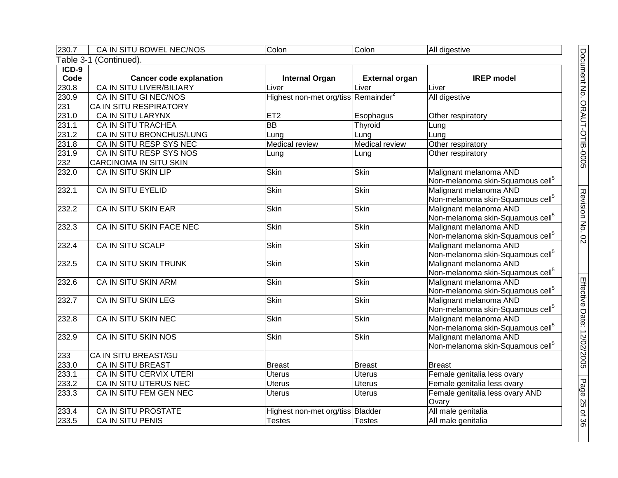| 230.7   | CA IN SITU BOWEL NEC/NOS        | Colon                                           | Colon                 | All digestive                                                          |  |  |
|---------|---------------------------------|-------------------------------------------------|-----------------------|------------------------------------------------------------------------|--|--|
|         | Table 3-1 (Continued).          |                                                 |                       |                                                                        |  |  |
| $ICD-9$ |                                 |                                                 |                       |                                                                        |  |  |
| Code    | <b>Cancer code explanation</b>  | <b>Internal Organ</b>                           | <b>External organ</b> | <b>IREP</b> model                                                      |  |  |
| 230.8   | <b>CA IN SITU LIVER/BILIARY</b> | Liver                                           | Liver                 | Liver                                                                  |  |  |
| 230.9   | CA IN SITU GI NEC/NOS           | Highest non-met org/tiss Remainder <sup>2</sup> |                       | All digestive                                                          |  |  |
| 231     | CA IN SITU RESPIRATORY          |                                                 |                       |                                                                        |  |  |
| 231.0   | <b>CA IN SITU LARYNX</b>        | ET2                                             | Esophagus             | Other respiratory                                                      |  |  |
| 231.1   | <b>CA IN SITU TRACHEA</b>       | <b>BB</b>                                       | Thyroid               | Lung                                                                   |  |  |
| 231.2   | CA IN SITU BRONCHUS/LUNG        | Lung                                            | Lung                  | Lung                                                                   |  |  |
| 231.8   | CA IN SITU RESP SYS NEC         | <b>Medical review</b>                           | <b>Medical review</b> | Other respiratory                                                      |  |  |
| 231.9   | CA IN SITU RESP SYS NOS         | Lung                                            | Lung                  | Other respiratory                                                      |  |  |
| 232     | CARCINOMA IN SITU SKIN          |                                                 |                       |                                                                        |  |  |
| 232.0   | <b>CA IN SITU SKIN LIP</b>      | Skin                                            | Skin                  | Malignant melanoma AND                                                 |  |  |
|         |                                 |                                                 |                       | Non-melanoma skin-Squamous cell <sup>5</sup>                           |  |  |
| 232.1   | <b>CA IN SITU EYELID</b>        | Skin                                            | <b>Skin</b>           | Malignant melanoma AND                                                 |  |  |
|         |                                 |                                                 |                       | Non-melanoma skin-Squamous cell <sup>5</sup>                           |  |  |
| 232.2   | CA IN SITU SKIN EAR             | Skin                                            | Skin                  | Malignant melanoma AND                                                 |  |  |
|         |                                 |                                                 |                       | Non-melanoma skin-Squamous cell <sup>5</sup>                           |  |  |
| 232.3   | CA IN SITU SKIN FACE NEC        | <b>Skin</b>                                     | <b>Skin</b>           | Malignant melanoma AND                                                 |  |  |
|         |                                 |                                                 |                       | Non-melanoma skin-Squamous cell <sup>5</sup>                           |  |  |
| 232.4   | CA IN SITU SCALP                | <b>Skin</b>                                     | <b>Skin</b>           | Malignant melanoma AND                                                 |  |  |
|         |                                 |                                                 |                       | Non-melanoma skin-Squamous cell <sup>5</sup>                           |  |  |
| 232.5   | CA IN SITU SKIN TRUNK           | Skin                                            | Skin                  | Malignant melanoma AND                                                 |  |  |
|         |                                 |                                                 |                       | Non-melanoma skin-Squamous cell <sup>5</sup>                           |  |  |
| 232.6   | <b>CA IN SITU SKIN ARM</b>      | Skin                                            | <b>Skin</b>           | Malignant melanoma AND                                                 |  |  |
|         |                                 |                                                 |                       | Non-melanoma skin-Squamous cell <sup>5</sup>                           |  |  |
| 232.7   | <b>CA IN SITU SKIN LEG</b>      | <b>Skin</b>                                     | <b>Skin</b>           | Malignant melanoma AND                                                 |  |  |
|         |                                 |                                                 | <b>Skin</b>           | Non-melanoma skin-Squamous cell <sup>5</sup>                           |  |  |
| 232.8   | CA IN SITU SKIN NEC             | <b>Skin</b>                                     |                       | Malignant melanoma AND<br>Non-melanoma skin-Squamous cell <sup>5</sup> |  |  |
| 232.9   | CA IN SITU SKIN NOS             | <b>Skin</b>                                     | <b>Skin</b>           | Malignant melanoma AND                                                 |  |  |
|         |                                 |                                                 |                       | Non-melanoma skin-Squamous cell <sup>5</sup>                           |  |  |
| 233     | CA IN SITU BREAST/GU            |                                                 |                       |                                                                        |  |  |
| 233.0   | <b>CA IN SITU BREAST</b>        | <b>Breast</b>                                   | <b>Breast</b>         | <b>Breast</b>                                                          |  |  |
| 233.1   | CA IN SITU CERVIX UTERI         | <b>Uterus</b>                                   | <b>Uterus</b>         | Female genitalia less ovary                                            |  |  |
| 233.2   | CA IN SITU UTERUS NEC           | <b>Uterus</b>                                   | <b>Uterus</b>         | Female genitalia less ovary                                            |  |  |
| 233.3   | CA IN SITU FEM GEN NEC          | <b>Uterus</b>                                   | <b>Uterus</b>         | Female genitalia less ovary AND                                        |  |  |
|         |                                 |                                                 |                       | Ovary                                                                  |  |  |
| 233.4   | <b>CA IN SITU PROSTATE</b>      | Highest non-met org/tiss Bladder                |                       | All male genitalia                                                     |  |  |
| 233.5   | <b>CA IN SITU PENIS</b>         | <b>Testes</b>                                   | <b>Testes</b>         | All male genitalia                                                     |  |  |
|         |                                 |                                                 |                       |                                                                        |  |  |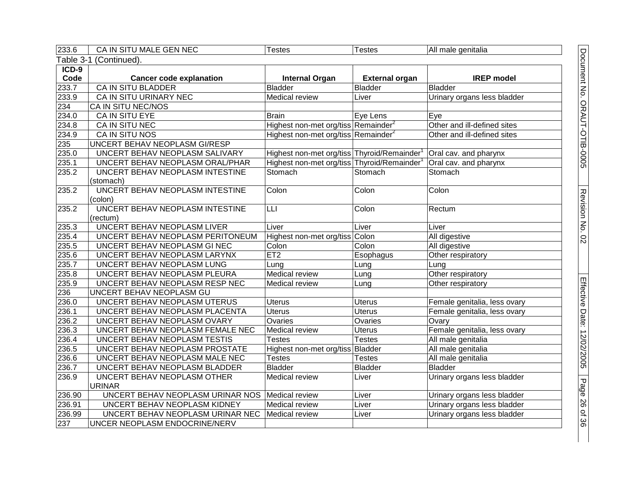| 233.6   | CA IN SITU MALE GEN NEC                         | <b>Testes</b>                                           | Testes                | All male genitalia           |
|---------|-------------------------------------------------|---------------------------------------------------------|-----------------------|------------------------------|
|         | Table 3-1 (Continued).                          |                                                         |                       |                              |
| $ICD-9$ |                                                 |                                                         |                       |                              |
| Code    | <b>Cancer code explanation</b>                  | <b>Internal Organ</b>                                   | <b>External organ</b> | <b>IREP</b> model            |
| 233.7   | <b>CA IN SITU BLADDER</b>                       | <b>Bladder</b>                                          | <b>Bladder</b>        | <b>Bladder</b>               |
| 233.9   | CA IN SITU URINARY NEC                          | Medical review                                          | Liver                 | Urinary organs less bladder  |
| 234     | CA IN SITU NEC/NOS                              |                                                         |                       |                              |
| 234.0   | CA IN SITU EYE                                  | <b>Brain</b>                                            | Eye Lens              | Eye                          |
| 234.8   | CA IN SITU NEC                                  | Highest non-met org/tiss Remainder <sup>2</sup>         |                       | Other and ill-defined sites  |
| 234.9   | CA IN SITU NOS                                  | Highest non-met org/tiss Remainder <sup>2</sup>         |                       | Other and ill-defined sites  |
| 235     | UNCERT BEHAV NEOPLASM GI/RESP                   |                                                         |                       |                              |
| 235.0   | UNCERT BEHAV NEOPLASM SALIVARY                  | Highest non-met org/tiss Thyroid/Remainder              |                       | Oral cav. and pharynx        |
| 235.1   | UNCERT BEHAV NEOPLASM ORAL/PHAR                 | Highest non-met org/tiss Thyroid/Remainder <sup>1</sup> |                       | Oral cav. and pharynx        |
| 235.2   | UNCERT BEHAV NEOPLASM INTESTINE                 | Stomach                                                 | Stomach               | Stomach                      |
|         | (stomach)                                       |                                                         |                       |                              |
| 235.2   | UNCERT BEHAV NEOPLASM INTESTINE                 | Colon                                                   | Colon                 | Colon                        |
|         | (colon)                                         |                                                         |                       |                              |
| 235.2   | UNCERT BEHAV NEOPLASM INTESTINE                 | LLI                                                     | Colon                 | Rectum                       |
|         | (rectum)                                        |                                                         |                       |                              |
| 235.3   | <b>UNCERT BEHAV NEOPLASM LIVER</b>              | Liver                                                   | Liver                 | Liver                        |
| 235.4   | UNCERT BEHAV NEOPLASM PERITONEUM                | Highest non-met org/tiss Colon                          |                       | All digestive                |
| 235.5   | UNCERT BEHAV NEOPLASM GI NEC                    | Colon                                                   | Colon                 | All digestive                |
| 235.6   | UNCERT BEHAV NEOPLASM LARYNX                    | ET2                                                     | Esophagus             | Other respiratory            |
| 235.7   | UNCERT BEHAV NEOPLASM LUNG                      | Lung                                                    | Lung                  | Lung                         |
| 235.8   | UNCERT BEHAV NEOPLASM PLEURA                    | <b>Medical review</b>                                   | Lung                  | Other respiratory            |
| 235.9   | UNCERT BEHAV NEOPLASM RESP NEC                  | Medical review                                          | Lung                  | Other respiratory            |
| 236     | UNCERT BEHAV NEOPLASM GU                        |                                                         |                       |                              |
| 236.0   | UNCERT BEHAV NEOPLASM UTERUS                    | <b>Uterus</b>                                           | <b>Uterus</b>         | Female genitalia, less ovary |
| 236.1   | UNCERT BEHAV NEOPLASM PLACENTA                  | <b>Uterus</b>                                           | <b>Uterus</b>         | Female genitalia, less ovary |
| 236.2   | UNCERT BEHAV NEOPLASM OVARY                     | Ovaries                                                 | Ovaries               | Ovary                        |
| 236.3   | UNCERT BEHAV NEOPLASM FEMALE NEC                | <b>Medical review</b>                                   | <b>Uterus</b>         | Female genitalia, less ovary |
| 236.4   | UNCERT BEHAV NEOPLASM TESTIS                    | <b>Testes</b>                                           | <b>Testes</b>         | All male genitalia           |
| 236.5   | UNCERT BEHAV NEOPLASM PROSTATE                  | Highest non-met org/tiss Bladder                        |                       | All male genitalia           |
| 236.6   | UNCERT BEHAV NEOPLASM MALE NEC                  | <b>Testes</b>                                           | <b>Testes</b>         | All male genitalia           |
| 236.7   | UNCERT BEHAV NEOPLASM BLADDER                   | Bladder                                                 | <b>Bladder</b>        | <b>Bladder</b>               |
| 236.9   | UNCERT BEHAV NEOPLASM OTHER                     | Medical review                                          | Liver                 | Urinary organs less bladder  |
|         | <b>URINAR</b>                                   |                                                         |                       |                              |
| 236.90  | UNCERT BEHAV NEOPLASM URINAR NOS Medical review |                                                         | Liver                 | Urinary organs less bladder  |
| 236.91  | UNCERT BEHAV NEOPLASM KIDNEY                    | Medical review                                          | Liver                 | Urinary organs less bladder  |
| 236.99  | UNCERT BEHAV NEOPLASM URINAR NEC                | Medical review                                          | Liver                 | Urinary organs less bladder  |
| 237     | UNCER NEOPLASM ENDOCRINE/NERV                   |                                                         |                       |                              |

Document No. ORAUT-OTIB-0005 Document No. ORAUT-OTIB-0005 Revision No. 02 Revision No. 02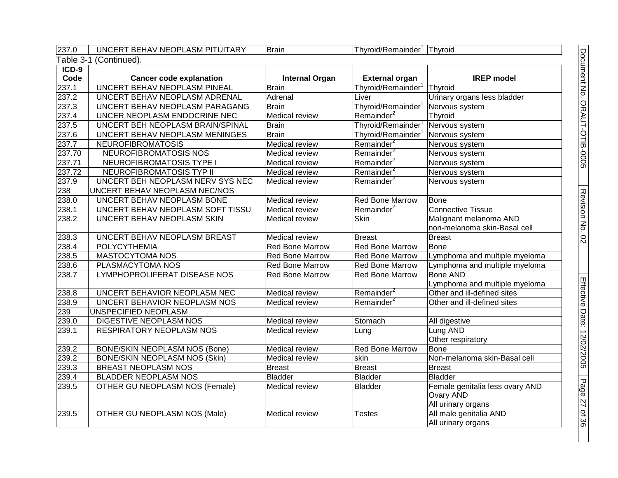| 237.0   | UNCERT BEHAV NEOPLASM PITUITARY       | <b>Brain</b>           | Thyroid/Remainder <sup>1</sup> Thyroid |                                 |  |  |
|---------|---------------------------------------|------------------------|----------------------------------------|---------------------------------|--|--|
|         | Table 3-1 (Continued).                |                        |                                        |                                 |  |  |
| $ICD-9$ |                                       |                        |                                        |                                 |  |  |
| Code    | <b>Cancer code explanation</b>        | <b>Internal Organ</b>  | <b>External organ</b>                  | <b>IREP</b> model               |  |  |
| 237.1   | UNCERT BEHAV NEOPLASM PINEAL          | <b>Brain</b>           | Thyroid/Remainder <sup>1</sup>         | Thyroid                         |  |  |
| 237.2   | UNCERT BEHAV NEOPLASM ADRENAL         | Adrenal                | Liver                                  | Urinary organs less bladder     |  |  |
| 237.3   | UNCERT BEHAV NEOPLASM PARAGANG        | <b>Brain</b>           | Thyroid/Remainder <sup>1</sup>         | Nervous system                  |  |  |
| 237.4   | UNCER NEOPLASM ENDOCRINE NEC          | <b>Medical review</b>  | Remainder <sup>2</sup>                 | <b>Thyroid</b>                  |  |  |
| 237.5   | UNCERT BEH NEOPLASM BRAIN/SPINAL      | <b>Brain</b>           | Thyroid/Remainder <sup>1</sup>         | Nervous system                  |  |  |
| 237.6   | UNCERT BEHAV NEOPLASM MENINGES        | <b>Brain</b>           | Thyroid/Remainder <sup>1</sup>         | Nervous system                  |  |  |
| 237.7   | <b>NEUROFIBROMATOSIS</b>              | <b>Medical review</b>  | Remainder <sup>2</sup>                 | Nervous system                  |  |  |
| 237.70  | NEUROFIBROMATOSIS NOS                 | Medical review         | Remainder <sup>2</sup>                 | Nervous system                  |  |  |
| 237.71  | <b>NEUROFIBROMATOSIS TYPE I</b>       | Medical review         | Remainder <sup>2</sup>                 | Nervous system                  |  |  |
| 237.72  | NEUROFIBROMATOSIS TYP II              | Medical review         | Remainder <sup>2</sup>                 | Nervous system                  |  |  |
| 237.9   | UNCERT BEH NEOPLASM NERV SYS NEC      | <b>Medical review</b>  | Remainder <sup>2</sup>                 | Nervous system                  |  |  |
| 238     | UNCERT BEHAV NEOPLASM NEC/NOS         |                        |                                        |                                 |  |  |
| 238.0   | UNCERT BEHAV NEOPLASM BONE            | Medical review         | Red Bone Marrow                        | <b>Bone</b>                     |  |  |
| 238.1   | UNCERT BEHAV NEOPLASM SOFT TISSU      | <b>Medical review</b>  | Remainder <sup>2</sup>                 | <b>Connective Tissue</b>        |  |  |
| 238.2   | <b>UNCERT BEHAV NEOPLASM SKIN</b>     | Medical review         | <b>Skin</b>                            | Malignant melanoma AND          |  |  |
|         |                                       |                        |                                        | non-melanoma skin-Basal cell    |  |  |
| 238.3   | UNCERT BEHAV NEOPLASM BREAST          | Medical review         | <b>Breast</b>                          | <b>Breast</b>                   |  |  |
| 238.4   | <b>POLYCYTHEMIA</b>                   | <b>Red Bone Marrow</b> | <b>Red Bone Marrow</b>                 | <b>Bone</b>                     |  |  |
| 238.5   | <b>MASTOCYTOMA NOS</b>                | Red Bone Marrow        | <b>Red Bone Marrow</b>                 | Lymphoma and multiple myeloma   |  |  |
| 238.6   | PLASMACYTOMA NOS                      | <b>Red Bone Marrow</b> | Red Bone Marrow                        | Lymphoma and multiple myeloma   |  |  |
| 238.7   | LYMPHOPROLIFERAT DISEASE NOS          | Red Bone Marrow        | <b>Red Bone Marrow</b>                 | <b>Bone AND</b>                 |  |  |
|         |                                       |                        |                                        | Lymphoma and multiple myeloma   |  |  |
| 238.8   | UNCERT BEHAVIOR NEOPLASM NEC          | Medical review         | Remainder <sup>2</sup>                 | Other and ill-defined sites     |  |  |
| 238.9   | UNCERT BEHAVIOR NEOPLASM NOS          | Medical review         | Remainder <sup>2</sup>                 | Other and ill-defined sites     |  |  |
| 239     | UNSPECIFIED NEOPLASM                  |                        |                                        |                                 |  |  |
| 239.0   | DIGESTIVE NEOPLASM NOS                | Medical review         | Stomach                                | All digestive                   |  |  |
| 239.1   | <b>RESPIRATORY NEOPLASM NOS</b>       | Medical review         | Lung                                   | Lung AND                        |  |  |
|         |                                       |                        |                                        | Other respiratory               |  |  |
| 239.2   | <b>BONE/SKIN NEOPLASM NOS (Bone)</b>  | <b>Medical review</b>  | <b>Red Bone Marrow</b>                 | <b>Bone</b>                     |  |  |
| 239.2   | <b>BONE/SKIN NEOPLASM NOS (Skin)</b>  | Medical review         | skin                                   | Non-melanoma skin-Basal cell    |  |  |
| 239.3   | BREAST NEOPLASM NOS                   | <b>Breast</b>          | <b>Breast</b>                          | <b>Breast</b>                   |  |  |
| 239.4   | <b>BLADDER NEOPLASM NOS</b>           | <b>Bladder</b>         | <b>Bladder</b>                         | <b>Bladder</b>                  |  |  |
| 239.5   | <b>OTHER GU NEOPLASM NOS (Female)</b> | Medical review         | <b>Bladder</b>                         | Female genitalia less ovary AND |  |  |
|         |                                       |                        |                                        | Ovary AND                       |  |  |
|         |                                       |                        |                                        | All urinary organs              |  |  |
| 239.5   | <b>OTHER GU NEOPLASM NOS (Male)</b>   | Medical review         | <b>Testes</b>                          | All male genitalia AND          |  |  |
|         |                                       |                        |                                        | All urinary organs              |  |  |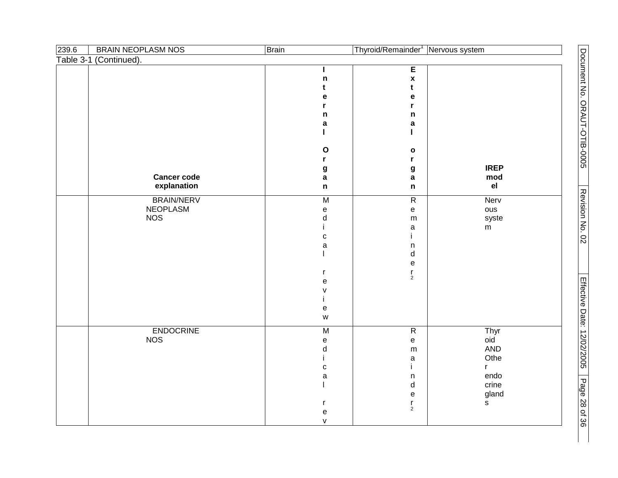| 239.6 | <b>BRAIN NEOPLASM NOS</b>                   | <b>Brain</b>                                                                                                                                                                                                                                                          | Thyroid/Remainder <sup>1</sup> Nervous system                               |                                                                           |
|-------|---------------------------------------------|-----------------------------------------------------------------------------------------------------------------------------------------------------------------------------------------------------------------------------------------------------------------------|-----------------------------------------------------------------------------|---------------------------------------------------------------------------|
|       | Table 3-1 (Continued).                      |                                                                                                                                                                                                                                                                       |                                                                             |                                                                           |
|       |                                             | n<br>t<br>е                                                                                                                                                                                                                                                           | $\overline{E}$<br>$\pmb{\mathsf{x}}$<br>t<br>е                              |                                                                           |
|       |                                             | r<br>n<br>a                                                                                                                                                                                                                                                           | r<br>n<br>a                                                                 |                                                                           |
|       |                                             | $\mathbf{o}$<br>r.                                                                                                                                                                                                                                                    | п<br>$\mathbf{o}$<br>r                                                      |                                                                           |
|       | <b>Cancer code</b><br>explanation           | g<br>$\mathbf a$<br>$\mathsf n$                                                                                                                                                                                                                                       | g<br>a<br>$\mathsf n$                                                       | <b>IREP</b><br>mod<br>e <sub>l</sub>                                      |
|       | <b>BRAIN/NERV</b><br>NEOPLASM<br><b>NOS</b> | M<br>$\mathsf{e}% _{t}\left( t\right)$<br>${\sf d}$<br>$\mathbf{C}$<br>$\mathsf a$<br>r<br>$\mathsf{e}% _{t}\left( t\right)$<br>V<br>i.<br>$\mathsf{e}% _{t}\left( t\right)$<br>$\mathsf{W}% _{T}=\mathsf{W}_{T}\!\left( a,b\right) ,\ \mathsf{W}_{T}=\mathsf{W}_{T}$ | $\overline{R}$<br>e<br>${\sf m}$<br>a<br>n<br>d<br>e<br>$\frac{r}{2}$       | Nerv<br>ous<br>syste<br>m                                                 |
|       | <b>ENDOCRINE</b><br><b>NOS</b>              | $\overline{M}$<br>$\mathsf{e}% _{t}\left( t\right)$<br>d<br>i<br>$\mathtt{C}$<br>$\mathsf a$<br>r<br>${\bf e}$<br>$\mathsf{V}$                                                                                                                                        | $\overline{R}$<br>e<br>${\sf m}$<br>a<br>i.<br>n<br>d<br>e<br>$\frac{r}{2}$ | Thyr<br>oid<br>AND<br>Othe<br>$\mathsf{r}$<br>endo<br>crine<br>gland<br>s |

Document No. ORAUT-OTIB-0005

Document No. ORAUT-OTIB-0005

Revision No. 02

Revision No. 02

Effective Date: 12/02/2005

Page 28

of<br>36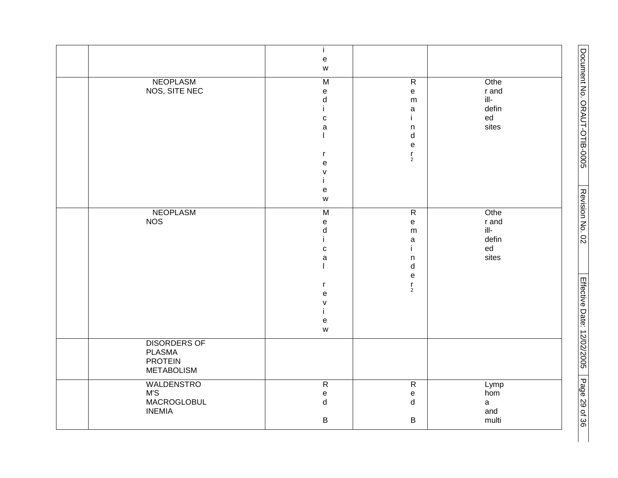|                     | j.                                |                                   |                        | Document No. ORAUT-OTIB-0005 |
|---------------------|-----------------------------------|-----------------------------------|------------------------|------------------------------|
|                     | $\mathsf{e}% _{t}\left( t\right)$ |                                   |                        |                              |
|                     | ${\mathsf W}$                     |                                   |                        |                              |
| <b>NEOPLASM</b>     | $\overline{M}$                    | $\overline{R}$                    | Othe                   |                              |
| NOS, SITE NEC       | $\mathsf{e}% _{t}\left( t\right)$ | ${\bf e}$                         | r and                  |                              |
|                     | d                                 | m                                 | $\mathsf{ill}\text{-}$ |                              |
|                     |                                   | $\mathsf a$                       | defin                  |                              |
|                     | $\mathtt{C}$                      | j.                                | ${\sf ed}$             |                              |
|                     | $\mathsf a$                       | $\mathsf n$                       | sites                  |                              |
|                     |                                   | d                                 |                        |                              |
|                     |                                   | $\mathsf{e}% _{t}\left( t\right)$ |                        |                              |
|                     | r                                 | $\frac{r}{2}$                     |                        |                              |
|                     | $\mathsf{e}% _{t}\left( t\right)$ |                                   |                        |                              |
|                     | V                                 |                                   |                        |                              |
|                     |                                   |                                   |                        |                              |
|                     | ${\bf e}$<br>${\mathsf W}$        |                                   |                        |                              |
|                     |                                   |                                   |                        | Revision No. 02              |
| <b>NEOPLASM</b>     | $\overline{M}$                    | $\overline{R}$                    | Othe                   |                              |
| <b>NOS</b>          | $\mathsf{e}% _{t}\left( t\right)$ | ${\bf e}$                         | r and                  |                              |
|                     | $\sf d$                           | m                                 | $\mathsf{ill}\text{-}$ |                              |
|                     |                                   | $\mathsf a$                       | defin                  |                              |
|                     | $\mathtt{C}$                      | Ť                                 | ${\tt ed}$             |                              |
|                     | $\mathsf a$                       | $\mathsf n$                       | sites                  |                              |
|                     |                                   | $\sf d$                           |                        |                              |
|                     |                                   | $\mathsf{e}% _{t}\left( t\right)$ |                        |                              |
|                     | r                                 | $\frac{r}{2}$                     |                        |                              |
|                     | e                                 |                                   |                        |                              |
|                     | $\mathsf{V}$                      |                                   |                        |                              |
|                     |                                   |                                   |                        |                              |
|                     | ${\bf e}$<br>${\mathsf W}$        |                                   |                        |                              |
|                     |                                   |                                   |                        |                              |
| <b>DISORDERS OF</b> |                                   |                                   |                        | Effective Date: 12/02/2005   |
| <b>PLASMA</b>       |                                   |                                   |                        |                              |
| <b>PROTEIN</b>      |                                   |                                   |                        |                              |
| <b>METABOLISM</b>   |                                   |                                   |                        |                              |
| <b>WALDENSTRO</b>   | $\overline{R}$                    | $\overline{R}$                    | Lymp                   | Page 29 of 36                |
| M'S                 | $\mathsf{e}% _{t}\left( t\right)$ | ${\bf e}$                         | hom                    |                              |
| MACROGLOBUL         | $\sf d$                           | d                                 | $\mathsf{a}$           |                              |
| <b>INEMIA</b>       |                                   |                                   | and                    |                              |
|                     | $\sf B$                           | $\sf B$                           | multi                  |                              |
|                     |                                   |                                   |                        |                              |

H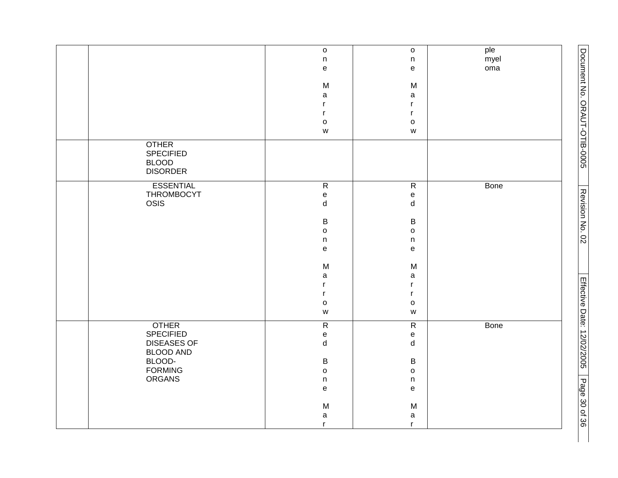|                                                                     | $\mathsf{o}$<br>n<br>e                              | $\mathsf{o}\xspace$<br>n<br>e                                                              | ple<br>myel<br>oma | Document No. ORAUT-OTIB-0005 |
|---------------------------------------------------------------------|-----------------------------------------------------|--------------------------------------------------------------------------------------------|--------------------|------------------------------|
|                                                                     | M<br>$\mathsf a$                                    | M<br>a                                                                                     |                    |                              |
|                                                                     | r<br>$\mathsf{r}$                                   | r<br>r                                                                                     |                    |                              |
|                                                                     | $\mathsf{o}$<br>${\mathsf W}$                       | o<br>$\mathsf{W}% _{T}=\mathsf{W}_{T}\!\left( a,b\right) ,\ \mathsf{W}_{T}=\mathsf{W}_{T}$ |                    |                              |
| <b>OTHER</b><br><b>SPECIFIED</b><br><b>BLOOD</b><br><b>DISORDER</b> |                                                     |                                                                                            |                    |                              |
| <b>ESSENTIAL</b><br>THROMBOCYT<br>OSIS                              | ${\sf R}$<br>$\mathsf{e}% _{t}\left( t\right)$<br>d | $\overline{R}$<br>e<br>d                                                                   | Bone               | Revision No. 02              |
|                                                                     | $\sf B$                                             | B                                                                                          |                    |                              |
|                                                                     | $\mathsf{o}$<br>$\mathsf{n}$                        | o<br>n                                                                                     |                    |                              |
|                                                                     | $\mathsf{e}% _{t}\left( t\right)$                   | e                                                                                          |                    |                              |
|                                                                     | M                                                   | M                                                                                          |                    |                              |
|                                                                     | $\mathsf a$<br>$\mathsf{r}$                         | a<br>r                                                                                     |                    |                              |
|                                                                     | $\mathsf{r}$                                        | r                                                                                          |                    |                              |
|                                                                     | $\mathsf{o}$                                        | 0                                                                                          |                    |                              |
|                                                                     | ${\mathsf W}$                                       | $\mathsf{W}% _{T}=\mathsf{W}_{T}\!\left( a,b\right) ,\ \mathsf{W}_{T}=\mathsf{W}_{T}$      |                    |                              |
| <b>OTHER</b><br><b>SPECIFIED</b>                                    | ${\sf R}$<br>$\mathsf{e}% _{t}\left( t\right)$      | $\overline{R}$<br>e                                                                        | <b>Bone</b>        | Effective Date: 12/02/2005   |
| <b>DISEASES OF</b>                                                  | $\sf d$                                             | d                                                                                          |                    |                              |
| <b>BLOOD AND</b>                                                    |                                                     |                                                                                            |                    |                              |
| BLOOD-<br><b>FORMING</b>                                            | $\, {\bf B}$<br>$\mathsf{o}$                        | B<br>o                                                                                     |                    |                              |
| <b>ORGANS</b>                                                       | $\mathsf{n}$                                        | n                                                                                          |                    |                              |
|                                                                     | $\mathsf{e}% _{t}\left( t\right)$                   | e                                                                                          |                    | Page 30 of 36                |
|                                                                     | ${\sf M}$                                           | M                                                                                          |                    |                              |
|                                                                     | $\mathsf a$                                         | a                                                                                          |                    |                              |
|                                                                     | r                                                   | r.                                                                                         |                    |                              |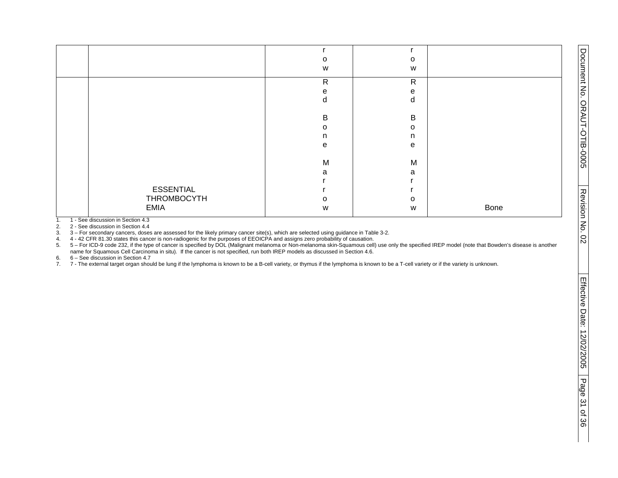|                  | O            | $\circ$      |      |
|------------------|--------------|--------------|------|
|                  | W            | W            |      |
|                  |              |              |      |
|                  | $\mathsf{R}$ | $\mathsf{R}$ |      |
|                  | е            | e            |      |
|                  | d            | d            |      |
|                  |              |              |      |
|                  | B            | B            |      |
|                  | O            | $\circ$      |      |
|                  | n            | n            |      |
|                  | e            | e            |      |
|                  |              |              |      |
|                  | M            | M            |      |
|                  | a            | a            |      |
|                  |              |              |      |
| <b>ESSENTIAL</b> |              |              |      |
| THROMBOCYTH      | $\Omega$     | $\circ$      |      |
| <b>EMIA</b>      | W            | W            | Bone |
|                  |              |              |      |

1. 1 - See discussion in Section 4.3<br>2. 2 - See discussion in Section 4.4

2. 2 - See discussion in Section 4.4<br>3. 3 - For secondary cancers, doses

3. 3 – For secondary cancers, doses are assessed for the likely primary cancer site(s), which are selected using guidance in Table 3-2.

4. 4 - 42 CFR 81.30 states this cancer is non-radiogenic for the purposes of EEOICPA and assigns zero probability of causation.

5. 5 – For ICD-9 code 232, if the type of cancer is specified by DOL (Malignant melanoma or Non-melanoma skin-Squamous cell) use only the specified IREP model (note that Bowden's disease is another name for Squamous Cell Carcinoma in situ). If the cancer is not specified, run both IREP models as discussed in Section 4.6.

6. 6 – See discussion in Section 4.7<br>7. 7 - The external target organ shou

7. 7 - The external target organ should be lung if the lymphoma is known to be a B-cell variety, or thymus if the lymphoma is known to be a T-cell variety or if the variety is unknown.

Document No. ORAUT-OTIB-0005

Document No. ORAUT-OTIB-0005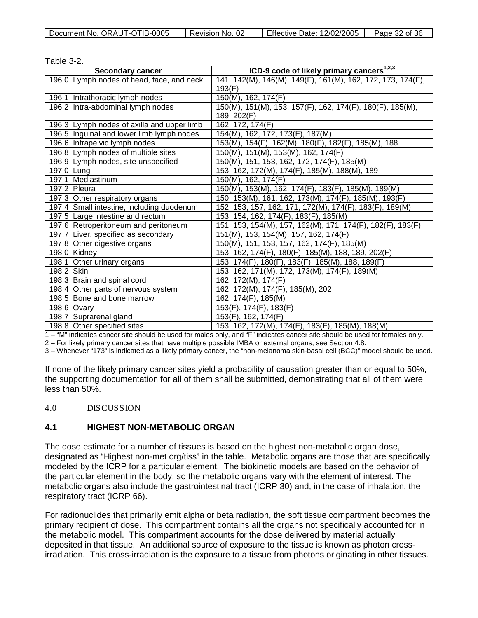|  | Document No. ORAUT-OTIB-0005 | Revision No. 02 | Effective Date: 12/02/2005 | Page 32 of 36 |
|--|------------------------------|-----------------|----------------------------|---------------|
|--|------------------------------|-----------------|----------------------------|---------------|

| Table 3-2.                                 |                                                             |
|--------------------------------------------|-------------------------------------------------------------|
| <b>Secondary cancer</b>                    | ICD-9 code of likely primary cancers <sup>1,2,3</sup>       |
| 196.0 Lymph nodes of head, face, and neck  | 141, 142(M), 146(M), 149(F), 161(M), 162, 172, 173, 174(F), |
|                                            | 193(F)                                                      |
| 196.1 Intrathoracic lymph nodes            | 150(M), 162, 174(F)                                         |
| 196.2 Intra-abdominal lymph nodes          | 150(M), 151(M), 153, 157(F), 162, 174(F), 180(F), 185(M),   |
|                                            | 189, 202(F)                                                 |
| 196.3 Lymph nodes of axilla and upper limb | 162, 172, 174(F)                                            |
| 196.5 Inguinal and lower limb lymph nodes  | 154(M), 162, 172, 173(F), 187(M)                            |
| 196.6 Intrapelvic lymph nodes              | 153(M), 154(F), 162(M), 180(F), 182(F), 185(M), 188         |
| 196.8 Lymph nodes of multiple sites        | 150(M), 151(M), 153(M), 162, 174(F)                         |
| 196.9 Lymph nodes, site unspecified        | 150(M), 151, 153, 162, 172, 174(F), 185(M)                  |
| 197.0 Lung                                 | 153, 162, 172(M), 174(F), 185(M), 188(M), 189               |
| 197.1 Mediastinum                          | 150(M), 162, 174(F)                                         |
| 197.2 Pleura                               | 150(M), 153(M), 162, 174(F), 183(F), 185(M), 189(M)         |
| 197.3 Other respiratory organs             | 150, 153(M), 161, 162, 173(M), 174(F), 185(M), 193(F)       |
| 197.4 Small intestine, including duodenum  | 152, 153, 157, 162, 171, 172(M), 174(F), 183(F), 189(M)     |
| 197.5 Large intestine and rectum           | 153, 154, 162, 174(F), 183(F), 185(M)                       |
| 197.6 Retroperitoneum and peritoneum       | 151, 153, 154(M), 157, 162(M), 171, 174(F), 182(F), 183(F)  |
| 197.7 Liver, specified as secondary        | 151(M), 153, 154(M), 157, 162, 174(F)                       |
| 197.8 Other digestive organs               | 150(M), 151, 153, 157, 162, 174(F), 185(M)                  |
| 198.0 Kidney                               | 153, 162, 174(F), 180(F), 185(M), 188, 189, 202(F)          |
| 198.1 Other urinary organs                 | 153, 174(F), 180(F), 183(F), 185(M), 188, 189(F)            |
| 198.2 Skin                                 | 153, 162, 171(M), 172, 173(M), 174(F), 189(M)               |
| 198.3 Brain and spinal cord                | 162, 172(M), 174(F)                                         |
| 198.4 Other parts of nervous system        | 162, 172(M), 174(F), 185(M), 202                            |
| 198.5 Bone and bone marrow                 | 162, 174(F), 185(M)                                         |
| 198.6 Ovary                                | 153(F), 174(F), 183(F)                                      |
| 198.7 Suprarenal gland                     | 153(F), 162, 174(F)                                         |
| 198.8 Other specified sites                | 153, 162, 172(M), 174(F), 183(F), 185(M), 188(M)            |

1 – "M" indicates cancer site should be used for males only, and "F" indicates cancer site should be used for females only.

2 – For likely primary cancer sites that have multiple possible IMBA or external organs, see Section 4.8.

3 – Whenever "173" is indicated as a likely primary cancer, the "non-melanoma skin-basal cell (BCC)" model should be used.

If none of the likely primary cancer sites yield a probability of causation greater than or equal to 50%, the supporting documentation for all of them shall be submitted, demonstrating that all of them were less than 50%.

#### 4.0 DISCUSSION

#### **4.1 HIGHEST NON-METABOLIC ORGAN**

The dose estimate for a number of tissues is based on the highest non-metabolic organ dose, designated as "Highest non-met org/tiss" in the table. Metabolic organs are those that are specifically modeled by the ICRP for a particular element. The biokinetic models are based on the behavior of the particular element in the body, so the metabolic organs vary with the element of interest. The metabolic organs also include the gastrointestinal tract (ICRP 30) and, in the case of inhalation, the respiratory tract (ICRP 66).

For radionuclides that primarily emit alpha or beta radiation, the soft tissue compartment becomes the primary recipient of dose. This compartment contains all the organs not specifically accounted for in the metabolic model. This compartment accounts for the dose delivered by material actually deposited in that tissue. An additional source of exposure to the tissue is known as photon crossirradiation. This cross-irradiation is the exposure to a tissue from photons originating in other tissues.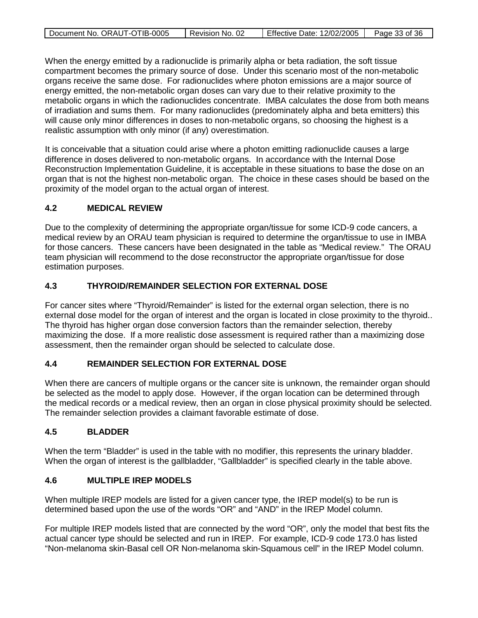| Document No. ORAUT-OTIB-0005 | I Revision No. 02 | Effective Date: 12/02/2005   Page 33 of 36 |  |
|------------------------------|-------------------|--------------------------------------------|--|

When the energy emitted by a radionuclide is primarily alpha or beta radiation, the soft tissue compartment becomes the primary source of dose. Under this scenario most of the non-metabolic organs receive the same dose. For radionuclides where photon emissions are a major source of energy emitted, the non-metabolic organ doses can vary due to their relative proximity to the metabolic organs in which the radionuclides concentrate. IMBA calculates the dose from both means of irradiation and sums them. For many radionuclides (predominately alpha and beta emitters) this will cause only minor differences in doses to non-metabolic organs, so choosing the highest is a realistic assumption with only minor (if any) overestimation.

It is conceivable that a situation could arise where a photon emitting radionuclide causes a large difference in doses delivered to non-metabolic organs. In accordance with the Internal Dose Reconstruction Implementation Guideline, it is acceptable in these situations to base the dose on an organ that is not the highest non-metabolic organ. The choice in these cases should be based on the proximity of the model organ to the actual organ of interest.

## **4.2 MEDICAL REVIEW**

Due to the complexity of determining the appropriate organ/tissue for some ICD-9 code cancers, a medical review by an ORAU team physician is required to determine the organ/tissue to use in IMBA for those cancers. These cancers have been designated in the table as "Medical review." The ORAU team physician will recommend to the dose reconstructor the appropriate organ/tissue for dose estimation purposes.

## **4.3 THYROID/REMAINDER SELECTION FOR EXTERNAL DOSE**

For cancer sites where "Thyroid/Remainder" is listed for the external organ selection, there is no external dose model for the organ of interest and the organ is located in close proximity to the thyroid.. The thyroid has higher organ dose conversion factors than the remainder selection, thereby maximizing the dose. If a more realistic dose assessment is required rather than a maximizing dose assessment, then the remainder organ should be selected to calculate dose.

## **4.4 REMAINDER SELECTION FOR EXTERNAL DOSE**

When there are cancers of multiple organs or the cancer site is unknown, the remainder organ should be selected as the model to apply dose. However, if the organ location can be determined through the medical records or a medical review, then an organ in close physical proximity should be selected. The remainder selection provides a claimant favorable estimate of dose.

## **4.5 BLADDER**

When the term "Bladder" is used in the table with no modifier, this represents the urinary bladder. When the organ of interest is the gallbladder, "Gallbladder" is specified clearly in the table above.

## **4.6 MULTIPLE IREP MODELS**

When multiple IREP models are listed for a given cancer type, the IREP model(s) to be run is determined based upon the use of the words "OR" and "AND" in the IREP Model column.

For multiple IREP models listed that are connected by the word "OR", only the model that best fits the actual cancer type should be selected and run in IREP. For example, ICD-9 code 173.0 has listed "Non-melanoma skin-Basal cell OR Non-melanoma skin-Squamous cell" in the IREP Model column.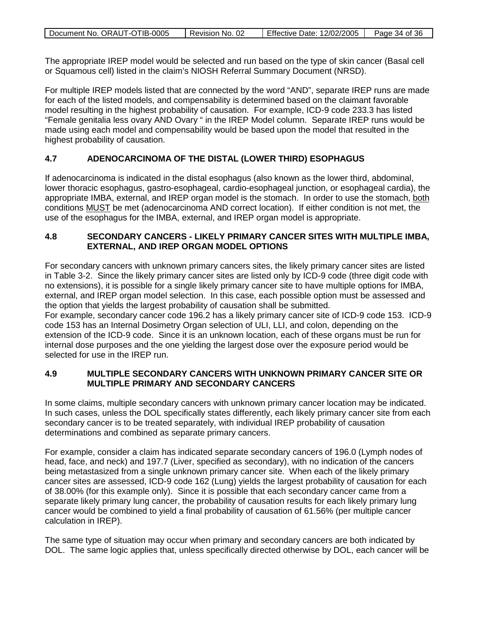| Document No. ORAUT-OTIB-0005 | Revision No. 02 | Effective Date: 12/02/2005 | Page 34 of 36 |
|------------------------------|-----------------|----------------------------|---------------|
|                              |                 |                            |               |

The appropriate IREP model would be selected and run based on the type of skin cancer (Basal cell or Squamous cell) listed in the claim's NIOSH Referral Summary Document (NRSD).

For multiple IREP models listed that are connected by the word "AND", separate IREP runs are made for each of the listed models, and compensability is determined based on the claimant favorable model resulting in the highest probability of causation. For example, ICD-9 code 233.3 has listed "Female genitalia less ovary AND Ovary " in the IREP Model column. Separate IREP runs would be made using each model and compensability would be based upon the model that resulted in the highest probability of causation.

## **4.7 ADENOCARCINOMA OF THE DISTAL (LOWER THIRD) ESOPHAGUS**

If adenocarcinoma is indicated in the distal esophagus (also known as the lower third, abdominal, lower thoracic esophagus, gastro-esophageal, cardio-esophageal junction, or esophageal cardia), the appropriate IMBA, external, and IREP organ model is the stomach. In order to use the stomach, both conditions **MUST** be met (adenocarcinoma AND correct location). If either condition is not met, the use of the esophagus for the IMBA, external, and IREP organ model is appropriate.

#### **4.8 SECONDARY CANCERS - LIKELY PRIMARY CANCER SITES WITH MULTIPLE IMBA, EXTERNAL, AND IREP ORGAN MODEL OPTIONS**

For secondary cancers with unknown primary cancers sites, the likely primary cancer sites are listed in Table 3-2. Since the likely primary cancer sites are listed only by ICD-9 code (three digit code with no extensions), it is possible for a single likely primary cancer site to have multiple options for IMBA, external, and IREP organ model selection. In this case, each possible option must be assessed and the option that yields the largest probability of causation shall be submitted.

For example, secondary cancer code 196.2 has a likely primary cancer site of ICD-9 code 153. ICD-9 code 153 has an Internal Dosimetry Organ selection of ULI, LLI, and colon, depending on the extension of the ICD-9 code. Since it is an unknown location, each of these organs must be run for internal dose purposes and the one yielding the largest dose over the exposure period would be selected for use in the IREP run.

## **4.9 MULTIPLE SECONDARY CANCERS WITH UNKNOWN PRIMARY CANCER SITE OR MULTIPLE PRIMARY AND SECONDARY CANCERS**

In some claims, multiple secondary cancers with unknown primary cancer location may be indicated. In such cases, unless the DOL specifically states differently, each likely primary cancer site from each secondary cancer is to be treated separately, with individual IREP probability of causation determinations and combined as separate primary cancers.

For example, consider a claim has indicated separate secondary cancers of 196.0 (Lymph nodes of head, face, and neck) and 197.7 (Liver, specified as secondary), with no indication of the cancers being metastasized from a single unknown primary cancer site. When each of the likely primary cancer sites are assessed, ICD-9 code 162 (Lung) yields the largest probability of causation for each of 38.00% (for this example only). Since it is possible that each secondary cancer came from a separate likely primary lung cancer, the probability of causation results for each likely primary lung cancer would be combined to yield a final probability of causation of 61.56% (per multiple cancer calculation in IREP).

The same type of situation may occur when primary and secondary cancers are both indicated by DOL. The same logic applies that, unless specifically directed otherwise by DOL, each cancer will be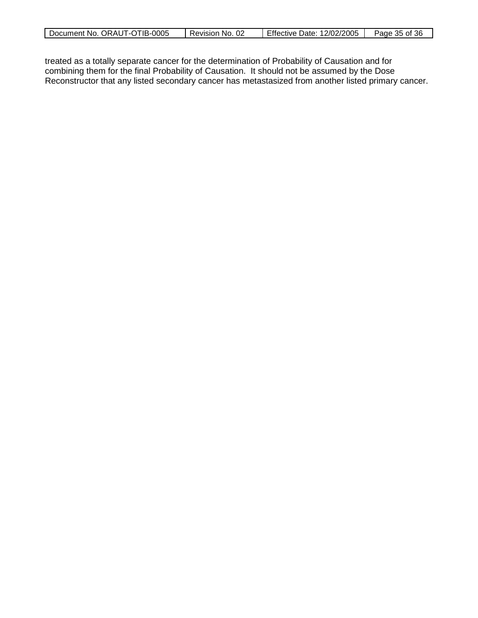| Document No. ORAUT-OTIB-0005 | Revision No. 02 | Effective Date: 12/02/2005 | Page 35 of 36 |
|------------------------------|-----------------|----------------------------|---------------|
|                              |                 |                            |               |

treated as a totally separate cancer for the determination of Probability of Causation and for combining them for the final Probability of Causation. It should not be assumed by the Dose Reconstructor that any listed secondary cancer has metastasized from another listed primary cancer.